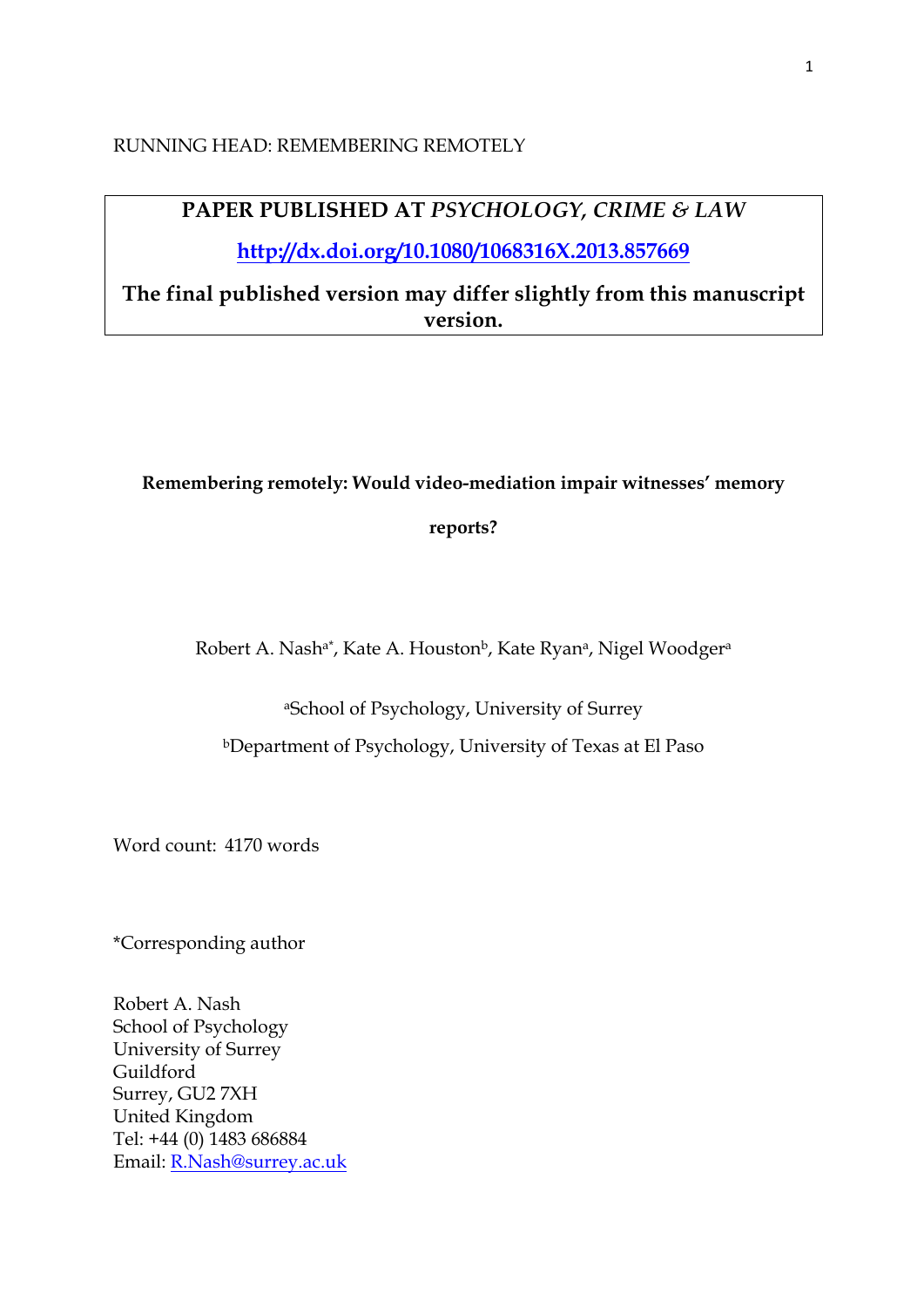### RUNNING HEAD: REMEMBERING REMOTELY

# **PAPER PUBLISHED AT** *PSYCHOLOGY, CRIME & LAW*

**http://dx.doi.org/10.1080/1068316X.2013.857669**

**The final published version may differ slightly from this manuscript version.**

#### **Remembering remotely: Would video-mediation impair witnesses' memory**

**reports?**

Robert A. Nash<sup>a\*</sup>, Kate A. Houston<sup>b</sup>, Kate Ryan<sup>a</sup>, Nigel Woodger<sup>a</sup>

aSchool of Psychology, University of Surrey

bDepartment of Psychology, University of Texas at El Paso

Word count: 4170 words

\*Corresponding author

Robert A. Nash School of Psychology University of Surrey Guildford Surrey, GU2 7XH United Kingdom Tel: +44 (0) 1483 686884 Email: R.Nash@surrey.ac.uk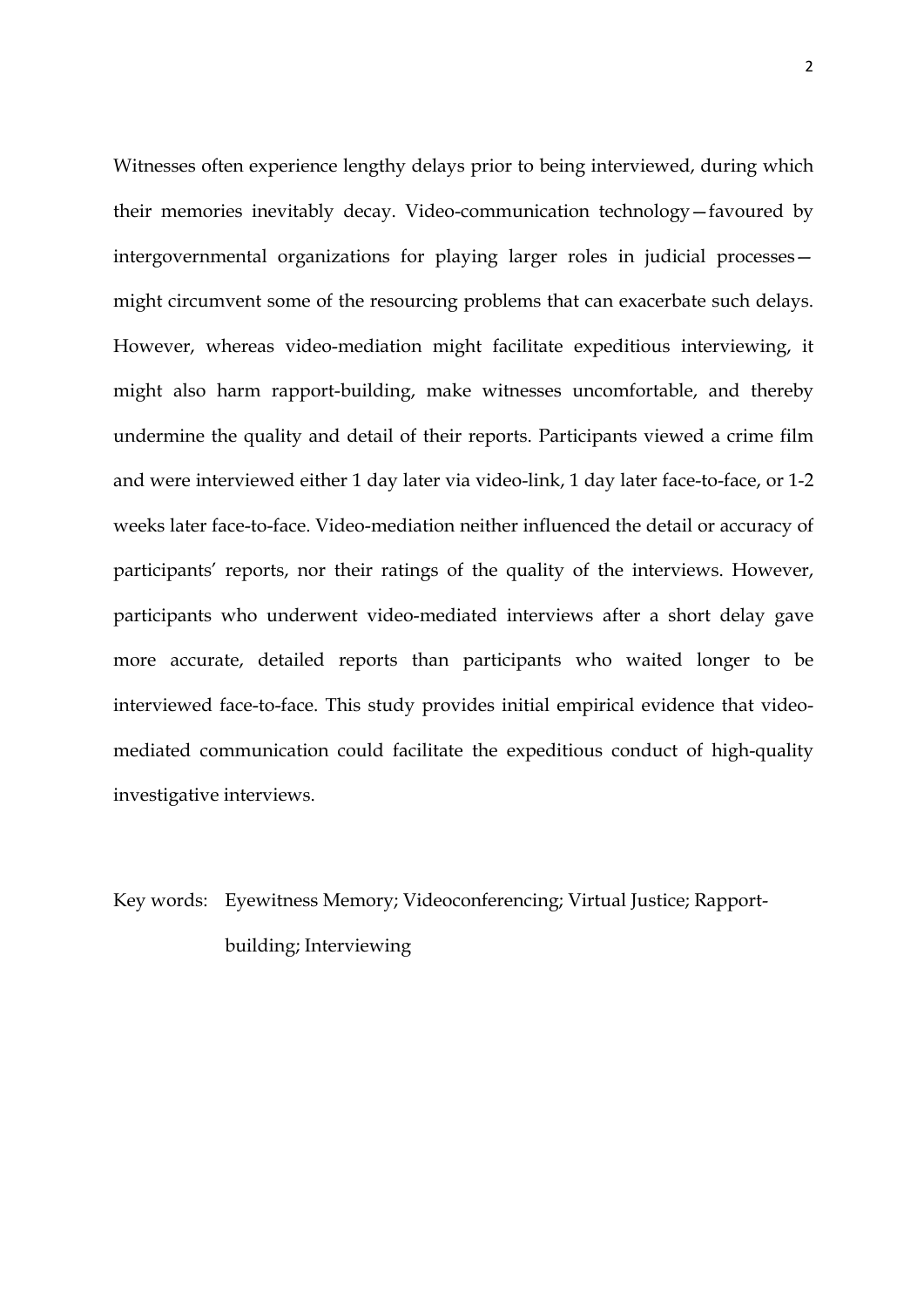Witnesses often experience lengthy delays prior to being interviewed, during which their memories inevitably decay. Video-communication technology—favoured by intergovernmental organizations for playing larger roles in judicial processes might circumvent some of the resourcing problems that can exacerbate such delays. However, whereas video-mediation might facilitate expeditious interviewing, it might also harm rapport-building, make witnesses uncomfortable, and thereby undermine the quality and detail of their reports. Participants viewed a crime film and were interviewed either 1 day later via video-link, 1 day later face-to-face, or 1-2 weeks later face-to-face. Video-mediation neither influenced the detail or accuracy of participants' reports, nor their ratings of the quality of the interviews. However, participants who underwent video-mediated interviews after a short delay gave more accurate, detailed reports than participants who waited longer to be interviewed face-to-face. This study provides initial empirical evidence that videomediated communication could facilitate the expeditious conduct of high-quality investigative interviews.

# Key words: Eyewitness Memory; Videoconferencing; Virtual Justice; Rapportbuilding; Interviewing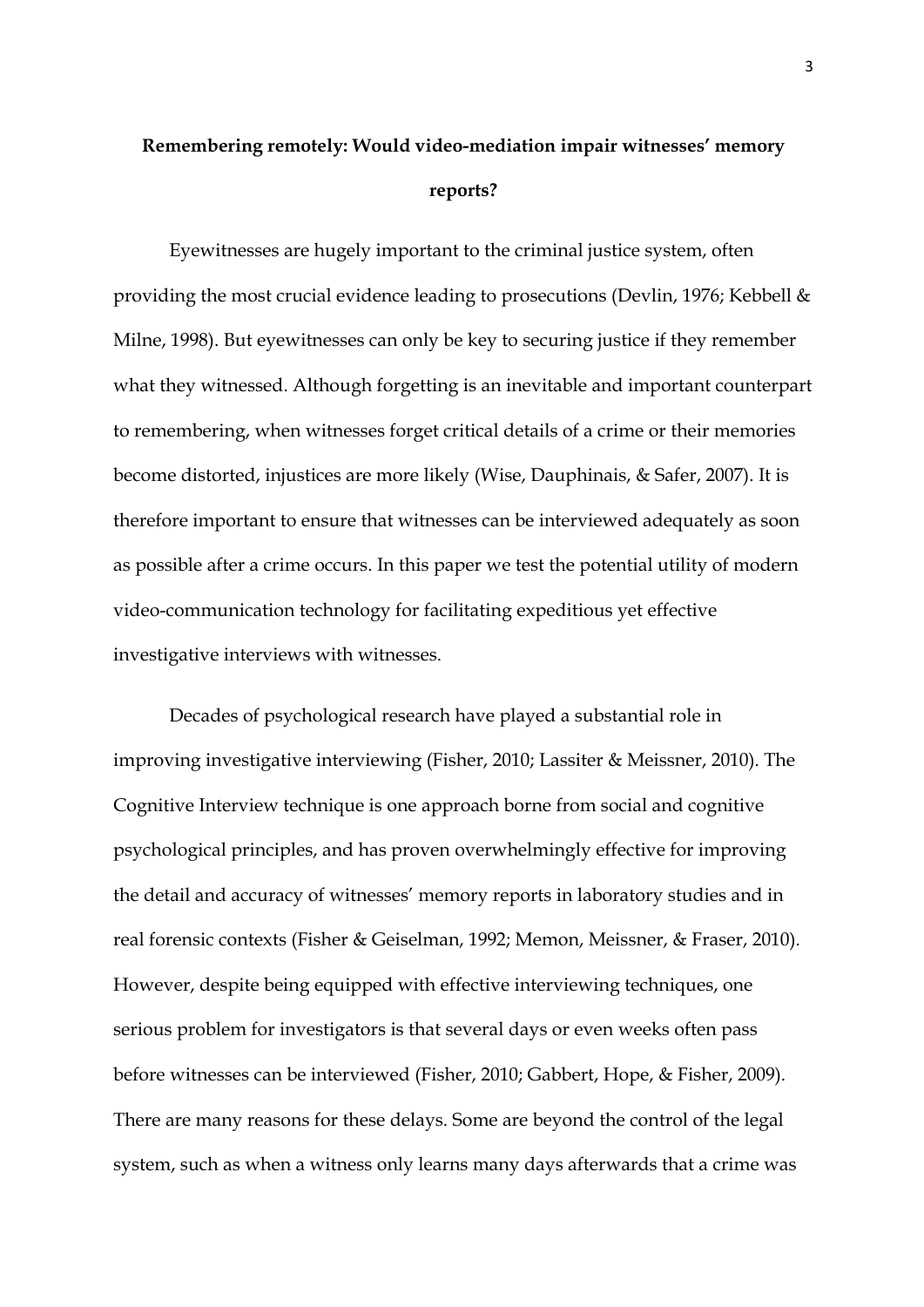# **Remembering remotely: Would video-mediation impair witnesses' memory reports?**

Eyewitnesses are hugely important to the criminal justice system, often providing the most crucial evidence leading to prosecutions (Devlin, 1976; Kebbell & Milne, 1998). But eyewitnesses can only be key to securing justice if they remember what they witnessed. Although forgetting is an inevitable and important counterpart to remembering, when witnesses forget critical details of a crime or their memories become distorted, injustices are more likely (Wise, Dauphinais, & Safer, 2007). It is therefore important to ensure that witnesses can be interviewed adequately as soon as possible after a crime occurs. In this paper we test the potential utility of modern video-communication technology for facilitating expeditious yet effective investigative interviews with witnesses.

Decades of psychological research have played a substantial role in improving investigative interviewing (Fisher, 2010; Lassiter & Meissner, 2010). The Cognitive Interview technique is one approach borne from social and cognitive psychological principles, and has proven overwhelmingly effective for improving the detail and accuracy of witnesses' memory reports in laboratory studies and in real forensic contexts (Fisher & Geiselman, 1992; Memon, Meissner, & Fraser, 2010). However, despite being equipped with effective interviewing techniques, one serious problem for investigators is that several days or even weeks often pass before witnesses can be interviewed (Fisher, 2010; Gabbert, Hope, & Fisher, 2009). There are many reasons for these delays. Some are beyond the control of the legal system, such as when a witness only learns many days afterwards that a crime was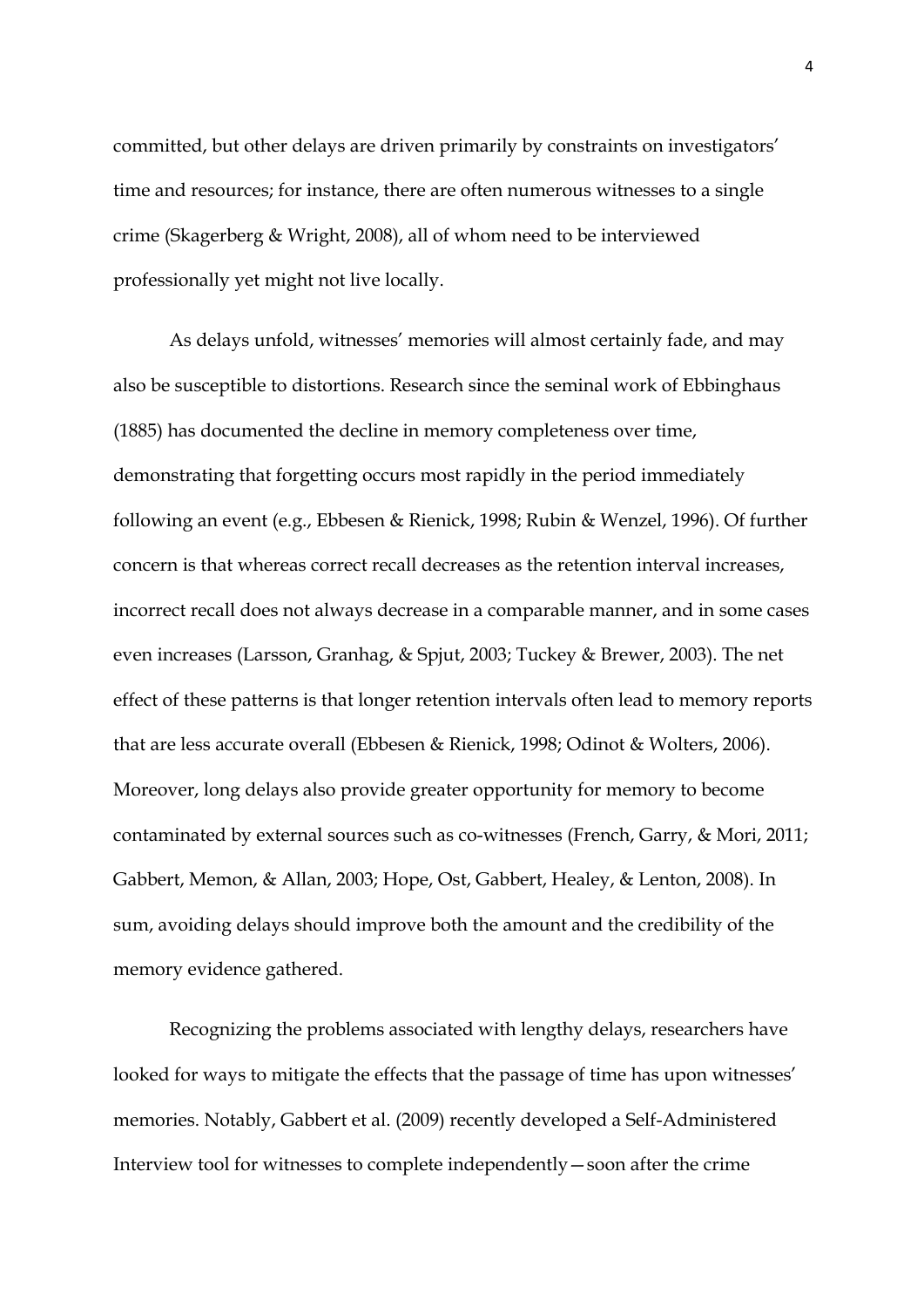committed, but other delays are driven primarily by constraints on investigators' time and resources; for instance, there are often numerous witnesses to a single crime (Skagerberg & Wright, 2008), all of whom need to be interviewed professionally yet might not live locally.

As delays unfold, witnesses' memories will almost certainly fade, and may also be susceptible to distortions. Research since the seminal work of Ebbinghaus (1885) has documented the decline in memory completeness over time, demonstrating that forgetting occurs most rapidly in the period immediately following an event (e.g., Ebbesen & Rienick, 1998; Rubin & Wenzel, 1996). Of further concern is that whereas correct recall decreases as the retention interval increases, incorrect recall does not always decrease in a comparable manner, and in some cases even increases (Larsson, Granhag, & Spjut, 2003; Tuckey & Brewer, 2003). The net effect of these patterns is that longer retention intervals often lead to memory reports that are less accurate overall (Ebbesen & Rienick, 1998; Odinot & Wolters, 2006). Moreover, long delays also provide greater opportunity for memory to become contaminated by external sources such as co-witnesses (French, Garry, & Mori, 2011; Gabbert, Memon, & Allan, 2003; Hope, Ost, Gabbert, Healey, & Lenton, 2008). In sum, avoiding delays should improve both the amount and the credibility of the memory evidence gathered.

Recognizing the problems associated with lengthy delays, researchers have looked for ways to mitigate the effects that the passage of time has upon witnesses' memories. Notably, Gabbert et al. (2009) recently developed a Self-Administered Interview tool for witnesses to complete independently—soon after the crime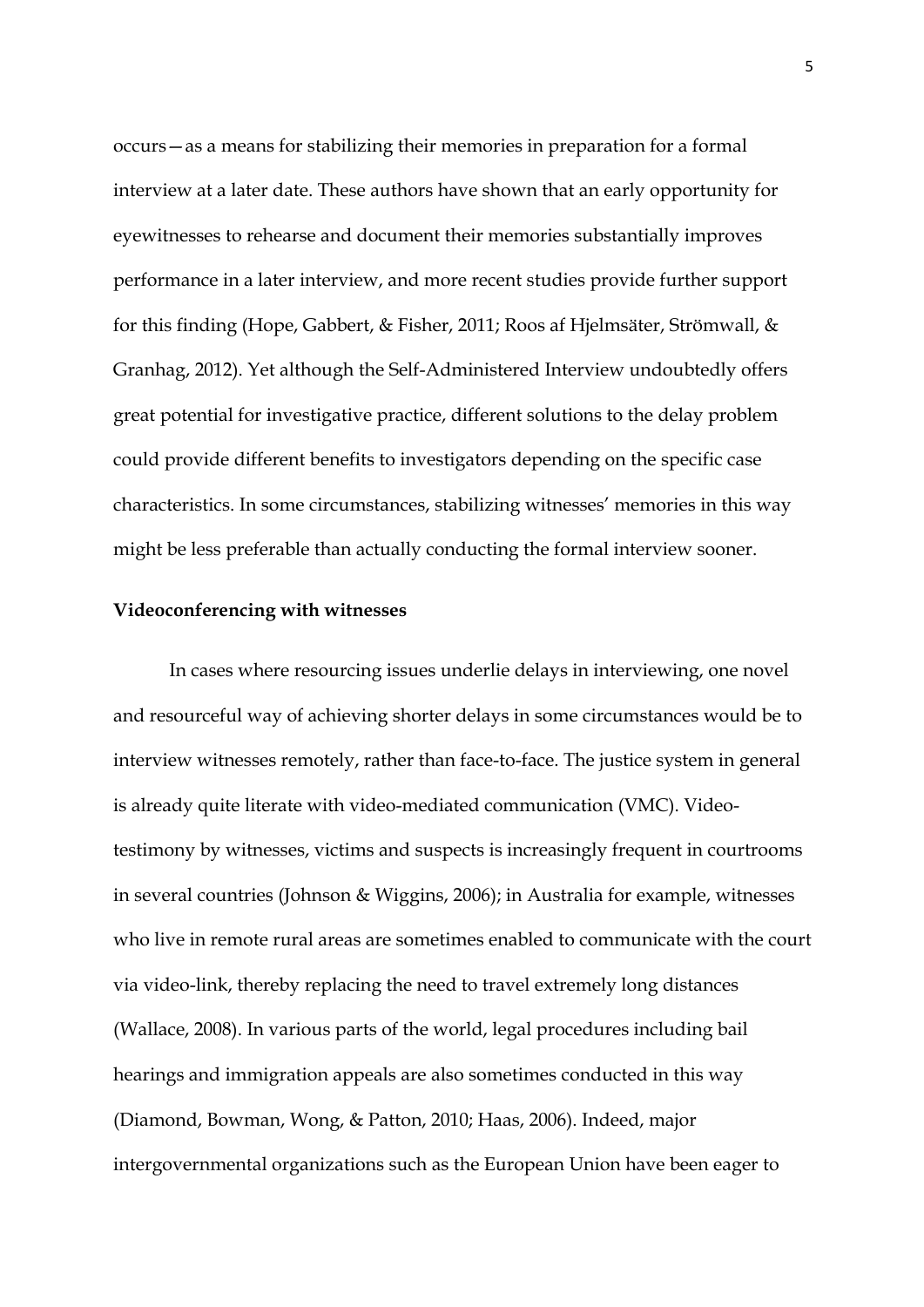occurs—as a means for stabilizing their memories in preparation for a formal interview at a later date. These authors have shown that an early opportunity for eyewitnesses to rehearse and document their memories substantially improves performance in a later interview, and more recent studies provide further support for this finding (Hope, Gabbert, & Fisher, 2011; Roos af Hjelmsäter, Strömwall, & Granhag, 2012). Yet although the Self-Administered Interview undoubtedly offers great potential for investigative practice, different solutions to the delay problem could provide different benefits to investigators depending on the specific case characteristics. In some circumstances, stabilizing witnesses' memories in this way might be less preferable than actually conducting the formal interview sooner.

#### **Videoconferencing with witnesses**

In cases where resourcing issues underlie delays in interviewing, one novel and resourceful way of achieving shorter delays in some circumstances would be to interview witnesses remotely, rather than face-to-face. The justice system in general is already quite literate with video-mediated communication (VMC). Videotestimony by witnesses, victims and suspects is increasingly frequent in courtrooms in several countries (Johnson & Wiggins, 2006); in Australia for example, witnesses who live in remote rural areas are sometimes enabled to communicate with the court via video-link, thereby replacing the need to travel extremely long distances (Wallace, 2008). In various parts of the world, legal procedures including bail hearings and immigration appeals are also sometimes conducted in this way (Diamond, Bowman, Wong, & Patton, 2010; Haas, 2006). Indeed, major intergovernmental organizations such as the European Union have been eager to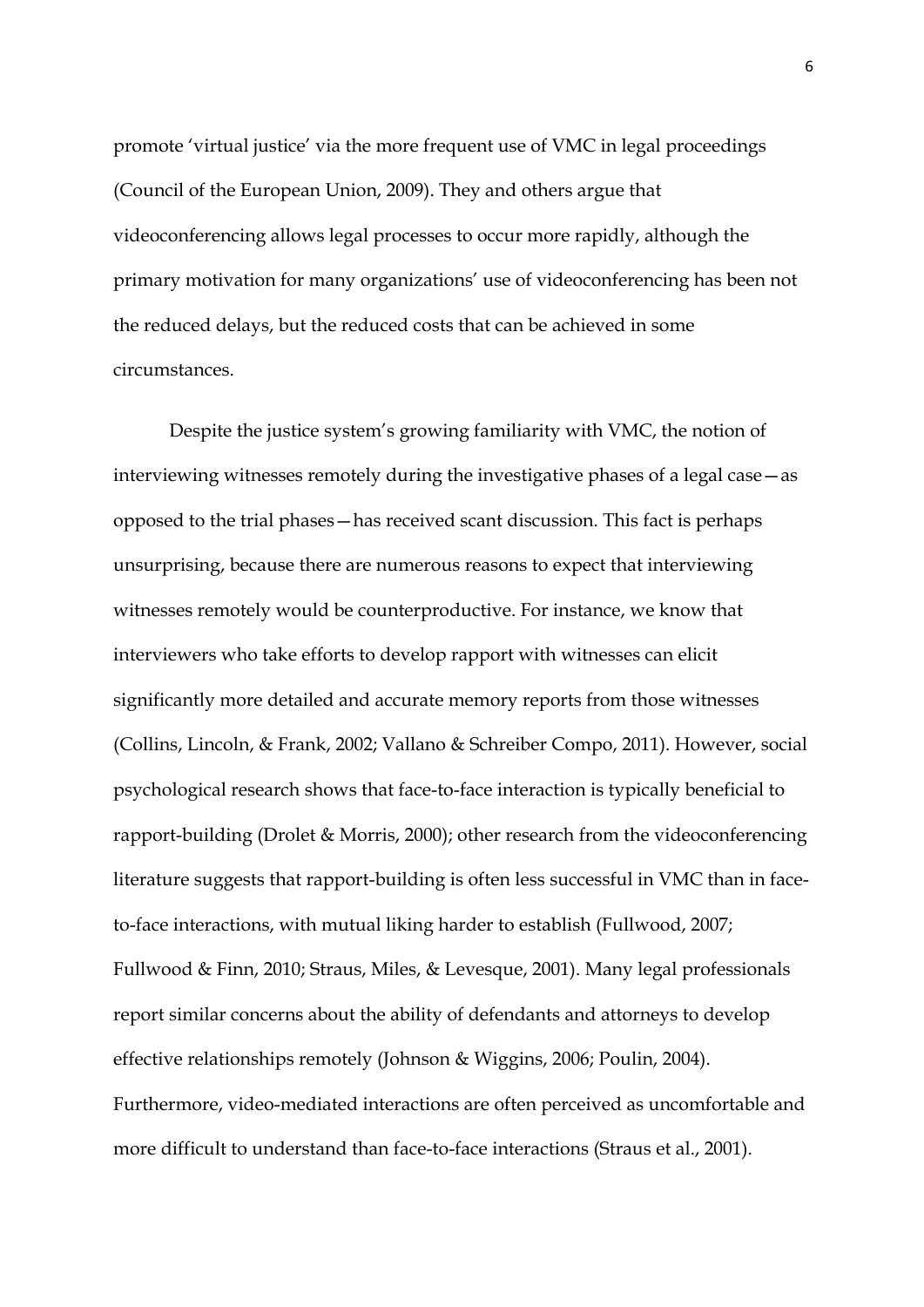promote 'virtual justice' via the more frequent use of VMC in legal proceedings (Council of the European Union, 2009). They and others argue that videoconferencing allows legal processes to occur more rapidly, although the primary motivation for many organizations' use of videoconferencing has been not the reduced delays, but the reduced costs that can be achieved in some circumstances.

Despite the justice system's growing familiarity with VMC, the notion of interviewing witnesses remotely during the investigative phases of a legal case—as opposed to the trial phases—has received scant discussion. This fact is perhaps unsurprising, because there are numerous reasons to expect that interviewing witnesses remotely would be counterproductive. For instance, we know that interviewers who take efforts to develop rapport with witnesses can elicit significantly more detailed and accurate memory reports from those witnesses (Collins, Lincoln, & Frank, 2002; Vallano & Schreiber Compo, 2011). However, social psychological research shows that face-to-face interaction is typically beneficial to rapport-building (Drolet & Morris, 2000); other research from the videoconferencing literature suggests that rapport-building is often less successful in VMC than in faceto-face interactions, with mutual liking harder to establish (Fullwood, 2007; Fullwood & Finn, 2010; Straus, Miles, & Levesque, 2001). Many legal professionals report similar concerns about the ability of defendants and attorneys to develop effective relationships remotely (Johnson & Wiggins, 2006; Poulin, 2004). Furthermore, video-mediated interactions are often perceived as uncomfortable and more difficult to understand than face-to-face interactions (Straus et al., 2001).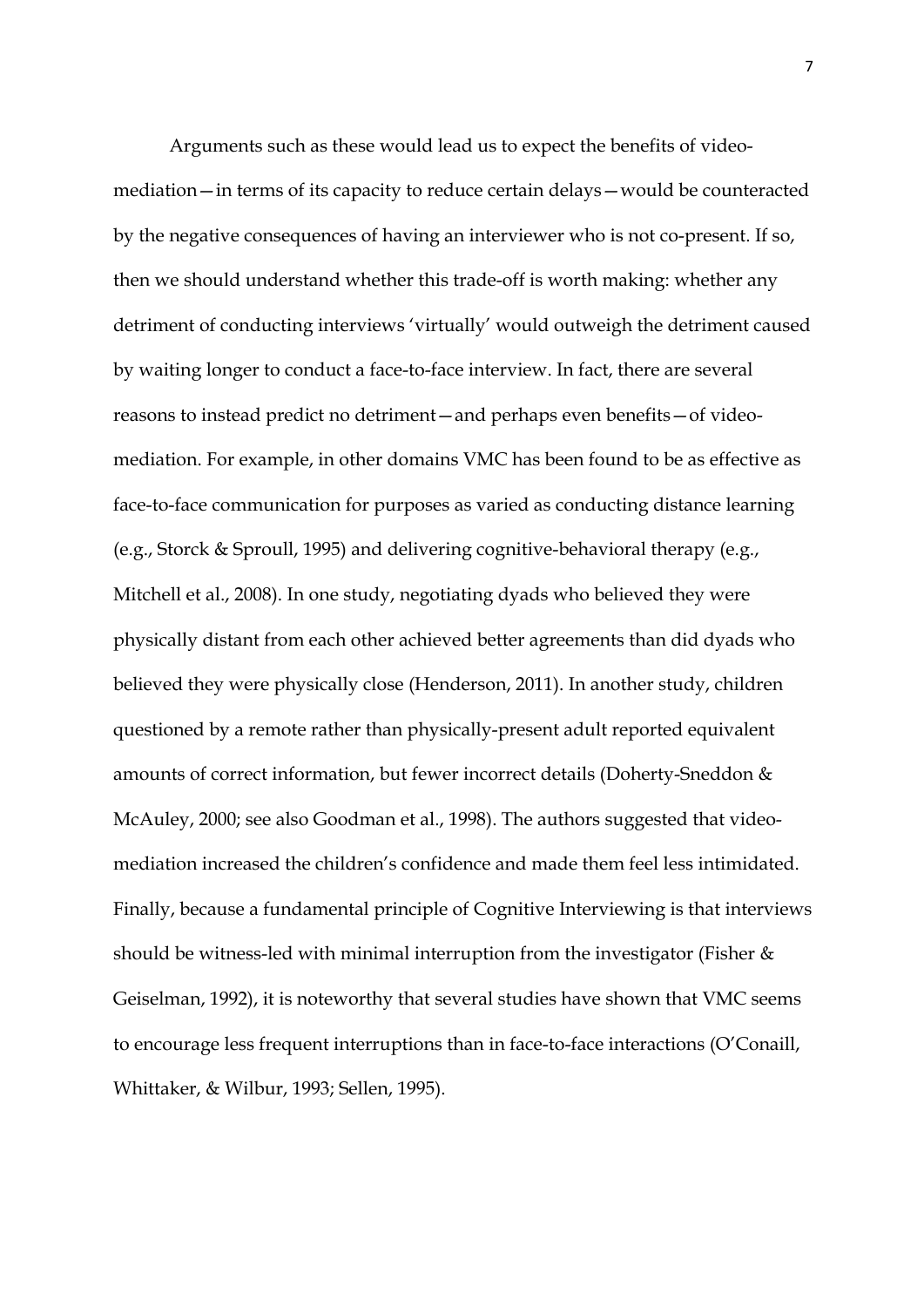Arguments such as these would lead us to expect the benefits of videomediation—in terms of its capacity to reduce certain delays—would be counteracted by the negative consequences of having an interviewer who is not co-present. If so, then we should understand whether this trade-off is worth making: whether any detriment of conducting interviews 'virtually' would outweigh the detriment caused by waiting longer to conduct a face-to-face interview. In fact, there are several reasons to instead predict no detriment—and perhaps even benefits—of videomediation. For example, in other domains VMC has been found to be as effective as face-to-face communication for purposes as varied as conducting distance learning (e.g., Storck & Sproull, 1995) and delivering cognitive-behavioral therapy (e.g., Mitchell et al., 2008). In one study, negotiating dyads who believed they were physically distant from each other achieved better agreements than did dyads who believed they were physically close (Henderson, 2011). In another study, children questioned by a remote rather than physically-present adult reported equivalent amounts of correct information, but fewer incorrect details (Doherty-Sneddon & McAuley, 2000; see also Goodman et al., 1998). The authors suggested that videomediation increased the children's confidence and made them feel less intimidated. Finally, because a fundamental principle of Cognitive Interviewing is that interviews should be witness-led with minimal interruption from the investigator (Fisher  $\&$ Geiselman, 1992), it is noteworthy that several studies have shown that VMC seems to encourage less frequent interruptions than in face-to-face interactions (O'Conaill, Whittaker, & Wilbur, 1993; Sellen, 1995).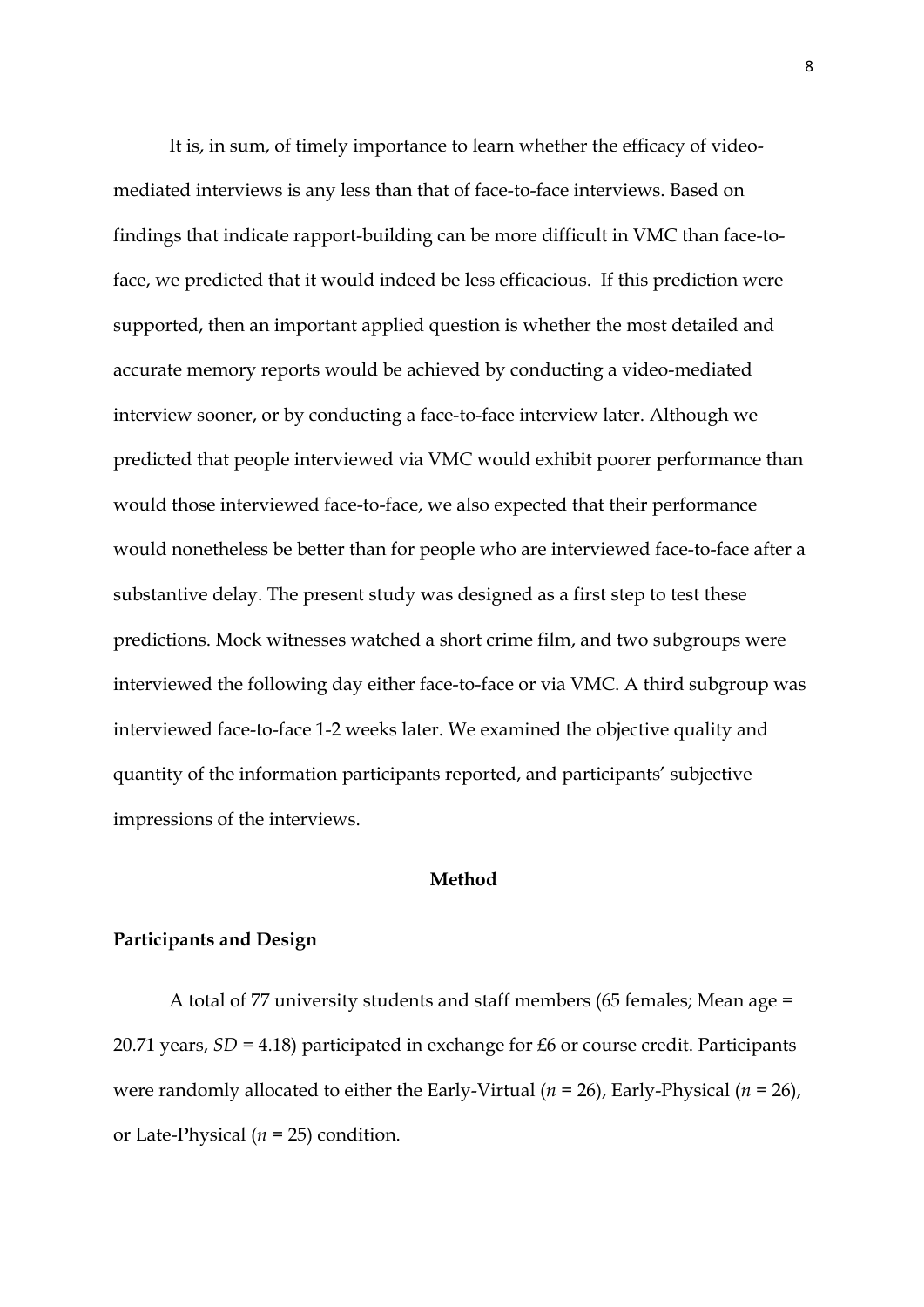It is, in sum, of timely importance to learn whether the efficacy of videomediated interviews is any less than that of face-to-face interviews. Based on findings that indicate rapport-building can be more difficult in VMC than face-toface, we predicted that it would indeed be less efficacious. If this prediction were supported, then an important applied question is whether the most detailed and accurate memory reports would be achieved by conducting a video-mediated interview sooner, or by conducting a face-to-face interview later. Although we predicted that people interviewed via VMC would exhibit poorer performance than would those interviewed face-to-face, we also expected that their performance would nonetheless be better than for people who are interviewed face-to-face after a substantive delay. The present study was designed as a first step to test these predictions. Mock witnesses watched a short crime film, and two subgroups were interviewed the following day either face-to-face or via VMC. A third subgroup was interviewed face-to-face 1-2 weeks later. We examined the objective quality and quantity of the information participants reported, and participants' subjective impressions of the interviews.

#### **Method**

#### **Participants and Design**

A total of 77 university students and staff members (65 females; Mean age = 20.71 years, *SD =* 4.18) participated in exchange for £6 or course credit. Participants were randomly allocated to either the Early-Virtual (*n* = 26), Early-Physical (*n* = 26), or Late-Physical (*n* = 25) condition.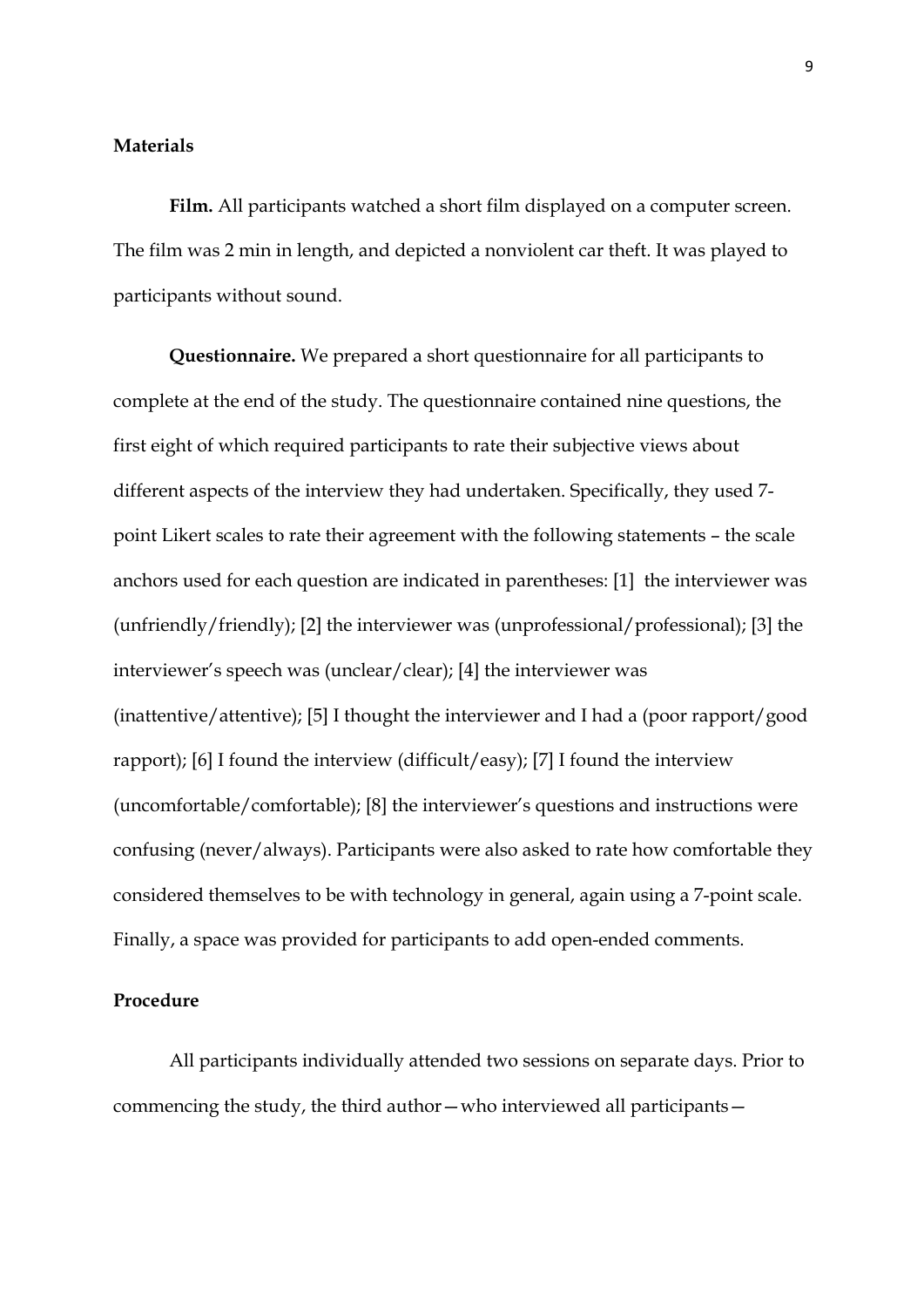### **Materials**

**Film.** All participants watched a short film displayed on a computer screen. The film was 2 min in length, and depicted a nonviolent car theft. It was played to participants without sound.

**Questionnaire.** We prepared a short questionnaire for all participants to complete at the end of the study. The questionnaire contained nine questions, the first eight of which required participants to rate their subjective views about different aspects of the interview they had undertaken. Specifically, they used 7 point Likert scales to rate their agreement with the following statements – the scale anchors used for each question are indicated in parentheses: [1] the interviewer was (unfriendly/friendly); [2] the interviewer was (unprofessional/professional); [3] the interviewer's speech was (unclear/clear); [4] the interviewer was (inattentive/attentive); [5] I thought the interviewer and I had a (poor rapport/good rapport); [6] I found the interview (difficult/easy); [7] I found the interview (uncomfortable/comfortable); [8] the interviewer's questions and instructions were confusing (never/always). Participants were also asked to rate how comfortable they considered themselves to be with technology in general, again using a 7-point scale. Finally, a space was provided for participants to add open-ended comments.

#### **Procedure**

All participants individually attended two sessions on separate days. Prior to commencing the study, the third author—who interviewed all participants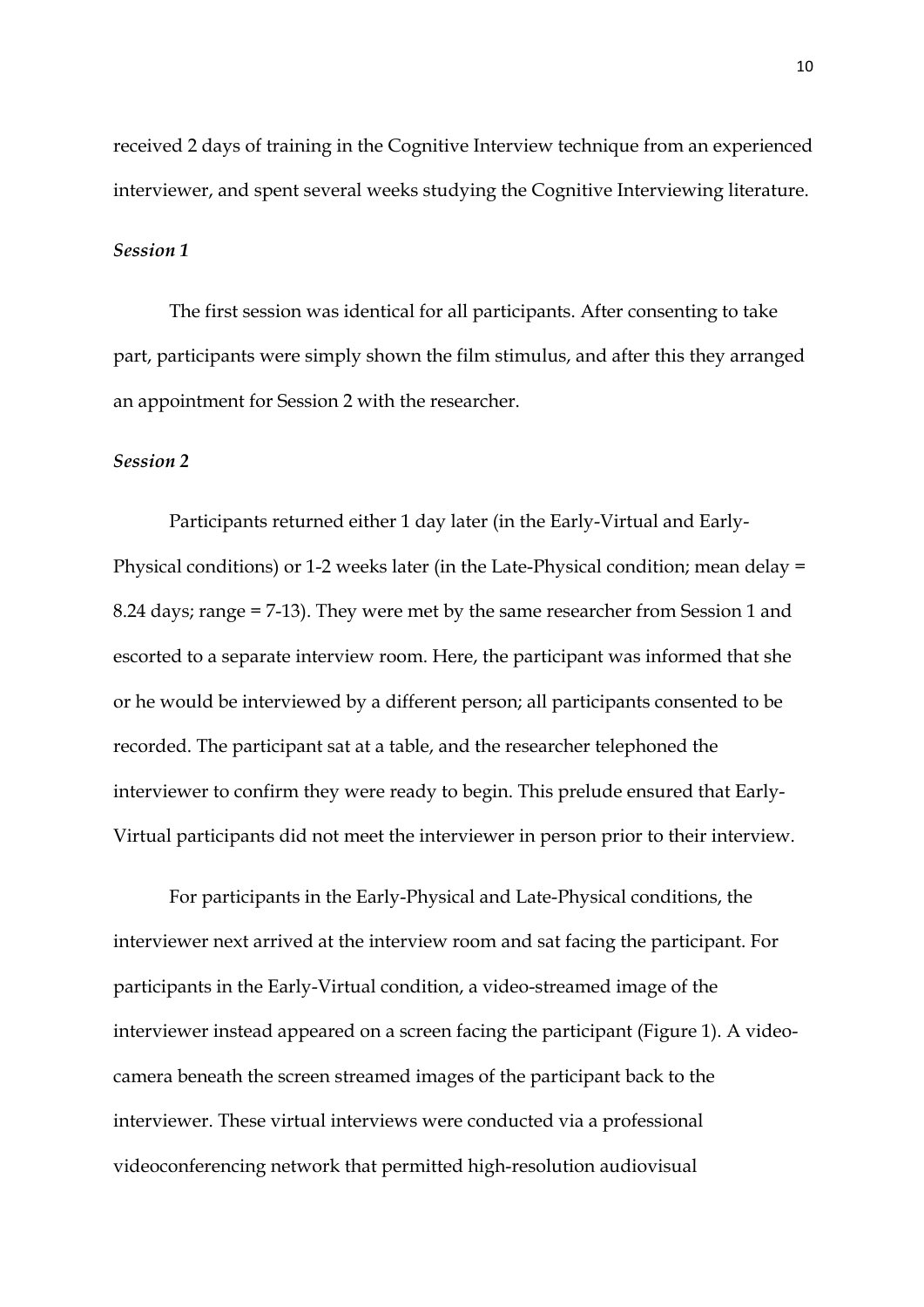received 2 days of training in the Cognitive Interview technique from an experienced interviewer, and spent several weeks studying the Cognitive Interviewing literature.

#### *Session 1*

The first session was identical for all participants. After consenting to take part, participants were simply shown the film stimulus, and after this they arranged an appointment for Session 2 with the researcher.

#### *Session 2*

Participants returned either 1 day later (in the Early-Virtual and Early-Physical conditions) or 1-2 weeks later (in the Late-Physical condition; mean delay = 8.24 days; range = 7-13). They were met by the same researcher from Session 1 and escorted to a separate interview room. Here, the participant was informed that she or he would be interviewed by a different person; all participants consented to be recorded. The participant sat at a table, and the researcher telephoned the interviewer to confirm they were ready to begin. This prelude ensured that Early-Virtual participants did not meet the interviewer in person prior to their interview.

For participants in the Early-Physical and Late-Physical conditions, the interviewer next arrived at the interview room and sat facing the participant. For participants in the Early-Virtual condition, a video-streamed image of the interviewer instead appeared on a screen facing the participant (Figure 1). A videocamera beneath the screen streamed images of the participant back to the interviewer. These virtual interviews were conducted via a professional videoconferencing network that permitted high-resolution audiovisual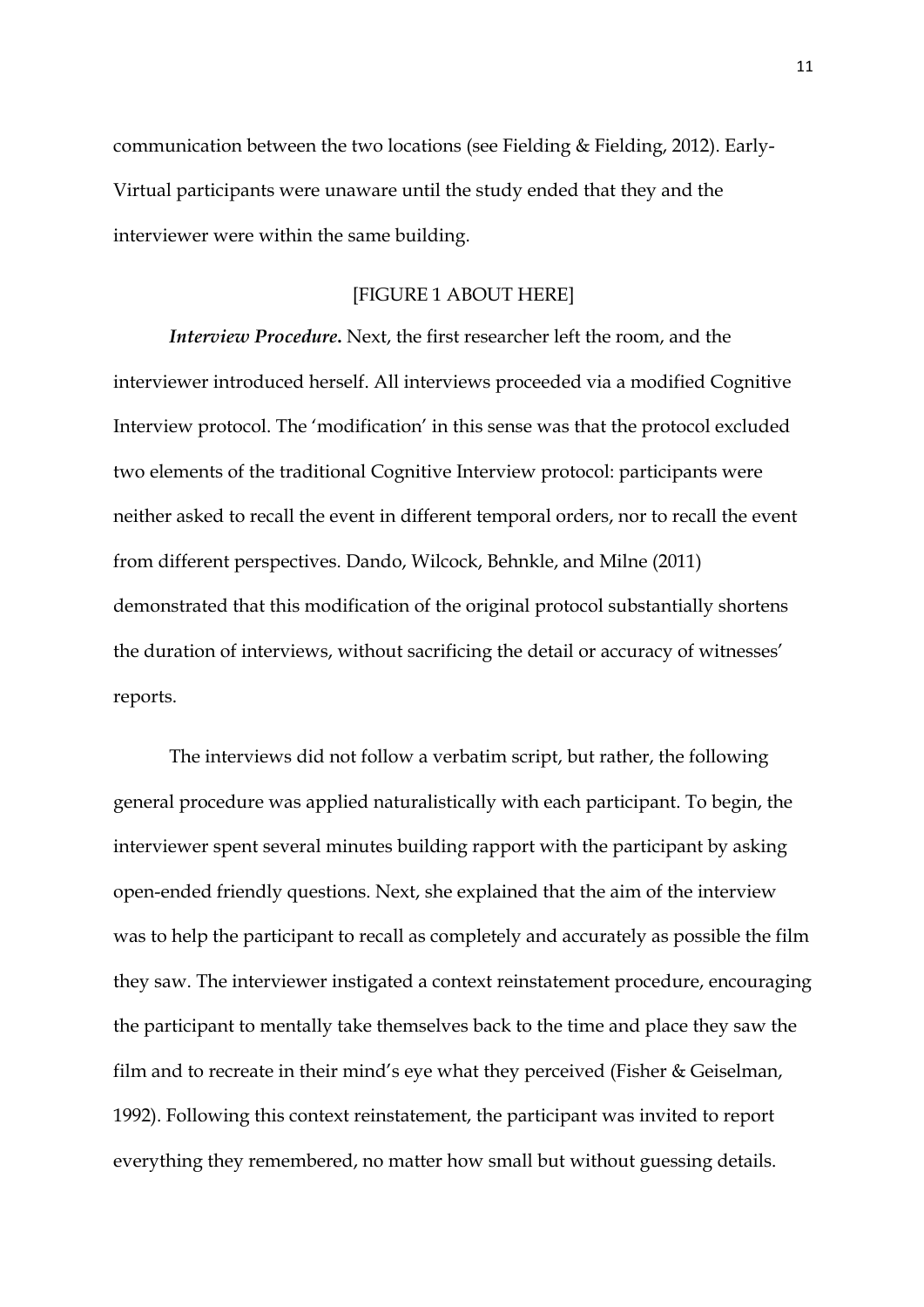communication between the two locations (see Fielding & Fielding, 2012). Early-Virtual participants were unaware until the study ended that they and the interviewer were within the same building.

#### [FIGURE 1 ABOUT HERE]

*Interview Procedure***.** Next, the first researcher left the room, and the interviewer introduced herself. All interviews proceeded via a modified Cognitive Interview protocol. The 'modification' in this sense was that the protocol excluded two elements of the traditional Cognitive Interview protocol: participants were neither asked to recall the event in different temporal orders, nor to recall the event from different perspectives. Dando, Wilcock, Behnkle, and Milne (2011) demonstrated that this modification of the original protocol substantially shortens the duration of interviews, without sacrificing the detail or accuracy of witnesses' reports.

The interviews did not follow a verbatim script, but rather, the following general procedure was applied naturalistically with each participant. To begin, the interviewer spent several minutes building rapport with the participant by asking open-ended friendly questions. Next, she explained that the aim of the interview was to help the participant to recall as completely and accurately as possible the film they saw. The interviewer instigated a context reinstatement procedure, encouraging the participant to mentally take themselves back to the time and place they saw the film and to recreate in their mind's eye what they perceived (Fisher & Geiselman, 1992). Following this context reinstatement, the participant was invited to report everything they remembered, no matter how small but without guessing details.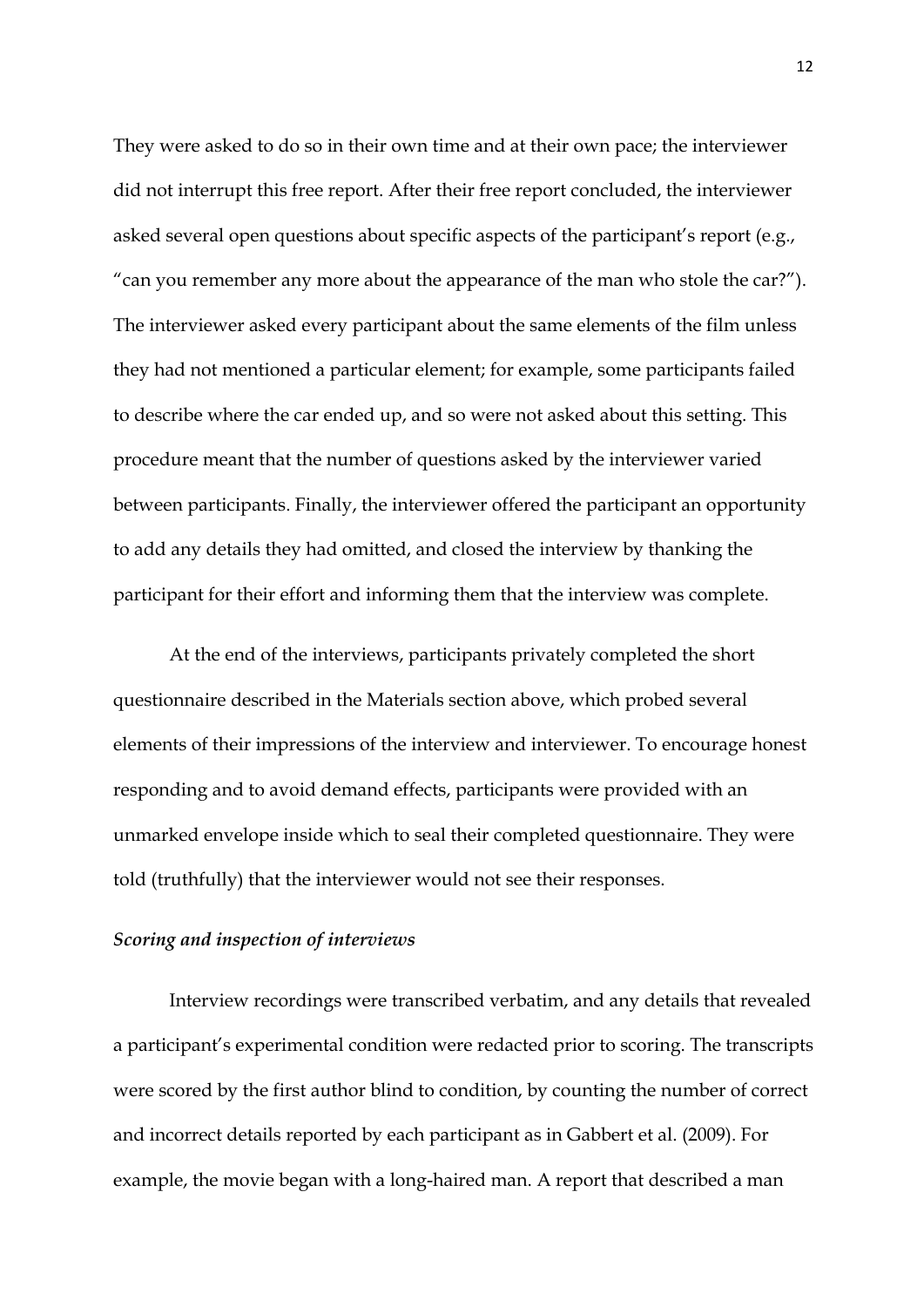They were asked to do so in their own time and at their own pace; the interviewer did not interrupt this free report. After their free report concluded, the interviewer asked several open questions about specific aspects of the participant's report (e.g., "can you remember any more about the appearance of the man who stole the car?"). The interviewer asked every participant about the same elements of the film unless they had not mentioned a particular element; for example, some participants failed to describe where the car ended up, and so were not asked about this setting. This procedure meant that the number of questions asked by the interviewer varied between participants. Finally, the interviewer offered the participant an opportunity to add any details they had omitted, and closed the interview by thanking the participant for their effort and informing them that the interview was complete.

At the end of the interviews, participants privately completed the short questionnaire described in the Materials section above, which probed several elements of their impressions of the interview and interviewer. To encourage honest responding and to avoid demand effects, participants were provided with an unmarked envelope inside which to seal their completed questionnaire. They were told (truthfully) that the interviewer would not see their responses.

#### *Scoring and inspection of interviews*

Interview recordings were transcribed verbatim, and any details that revealed a participant's experimental condition were redacted prior to scoring. The transcripts were scored by the first author blind to condition, by counting the number of correct and incorrect details reported by each participant as in Gabbert et al. (2009). For example, the movie began with a long-haired man. A report that described a man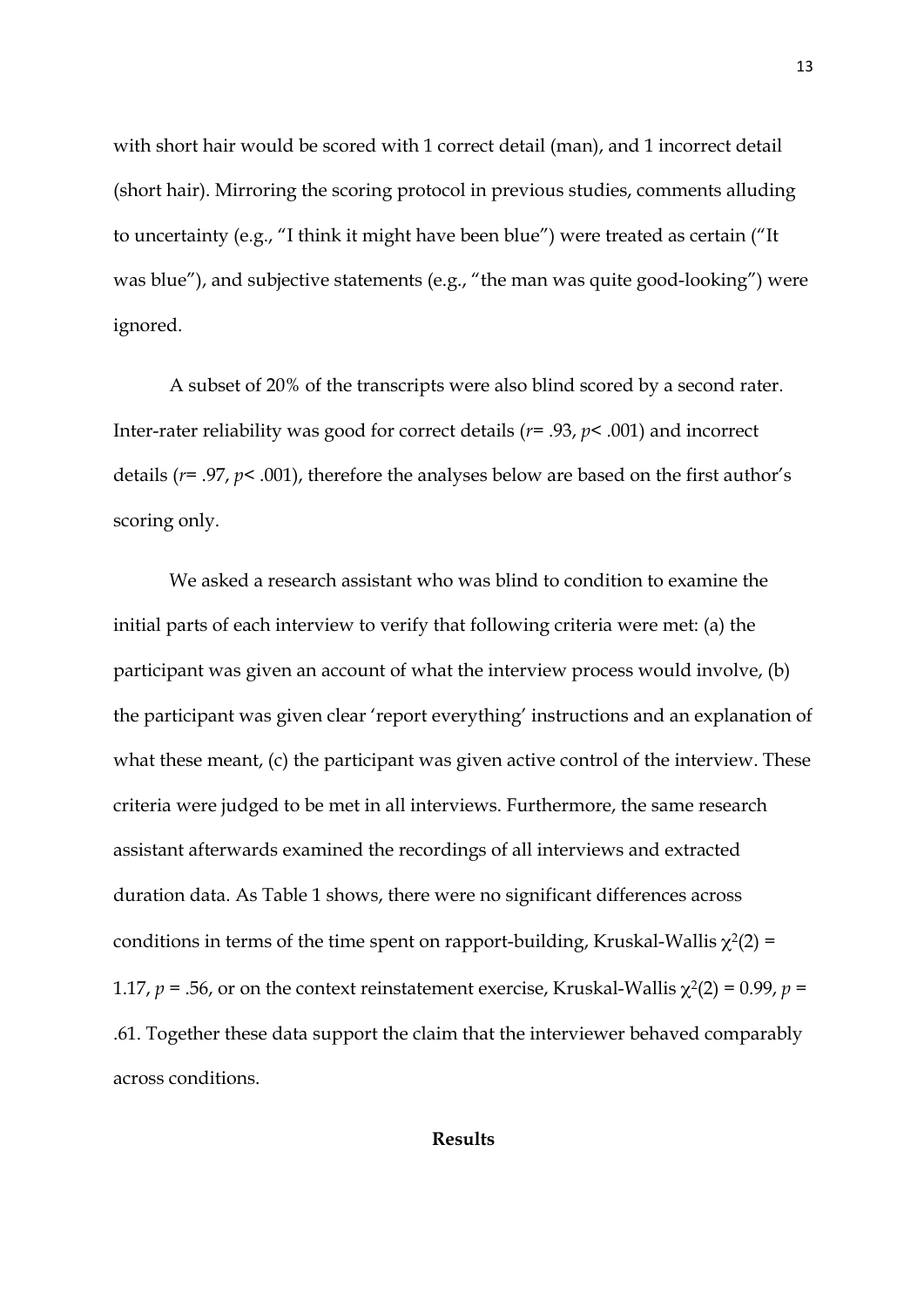with short hair would be scored with 1 correct detail (man), and 1 incorrect detail (short hair). Mirroring the scoring protocol in previous studies, comments alluding to uncertainty (e.g., "I think it might have been blue") were treated as certain ("It was blue"), and subjective statements (e.g., "the man was quite good-looking") were ignored.

A subset of 20% of the transcripts were also blind scored by a second rater. Inter-rater reliability was good for correct details (*r=* .93, *p<* .001) and incorrect details (*r*= .97, *p<* .001), therefore the analyses below are based on the first author's scoring only.

We asked a research assistant who was blind to condition to examine the initial parts of each interview to verify that following criteria were met: (a) the participant was given an account of what the interview process would involve, (b) the participant was given clear 'report everything' instructions and an explanation of what these meant, (c) the participant was given active control of the interview. These criteria were judged to be met in all interviews. Furthermore, the same research assistant afterwards examined the recordings of all interviews and extracted duration data. As Table 1 shows, there were no significant differences across conditions in terms of the time spent on rapport-building, Kruskal-Wallis  $\chi^2(2)$  = 1.17,  $p = .56$ , or on the context reinstatement exercise, Kruskal-Wallis  $\chi^2(2) = 0.99$ ,  $p =$ .61. Together these data support the claim that the interviewer behaved comparably across conditions.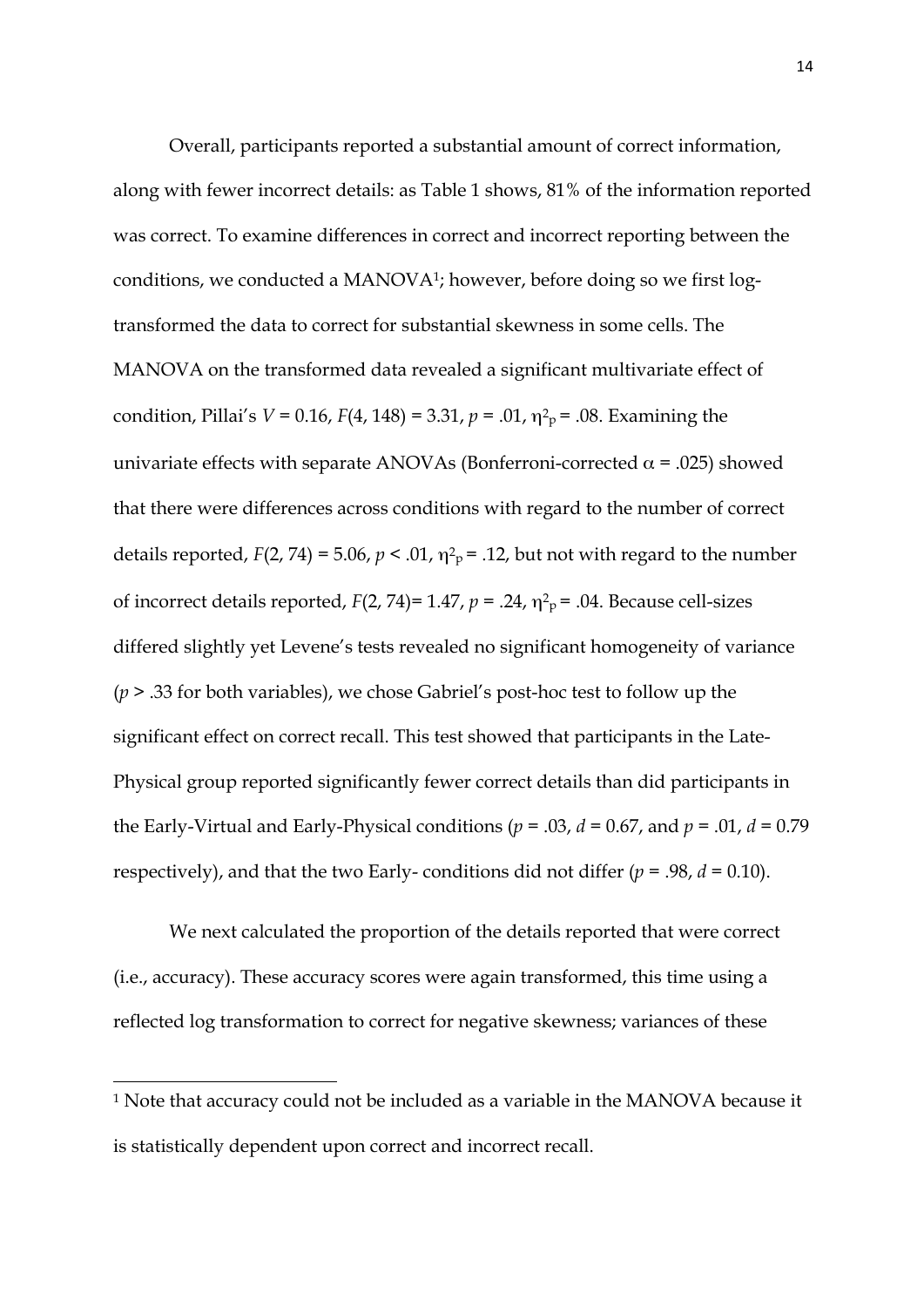Overall, participants reported a substantial amount of correct information, along with fewer incorrect details: as Table 1 shows, 81% of the information reported was correct. To examine differences in correct and incorrect reporting between the conditions, we conducted a MANOVA<sup>1</sup>; however, before doing so we first logtransformed the data to correct for substantial skewness in some cells. The MANOVA on the transformed data revealed a significant multivariate effect of condition, Pillai's  $V = 0.16$ ,  $F(4, 148) = 3.31$ ,  $p = .01$ ,  $\eta^2$ <sub>P</sub> = .08. Examining the univariate effects with separate ANOVAs (Bonferroni-corrected  $\alpha$  = .025) showed that there were differences across conditions with regard to the number of correct details reported,  $F(2, 74) = 5.06$ ,  $p < .01$ ,  $\eta^2$ <sub>p</sub> = .12, but not with regard to the number of incorrect details reported,  $F(2, 74)=1.47$ ,  $p=.24$ ,  $\eta^2$ <sub>P</sub> = .04. Because cell-sizes differed slightly yet Levene's tests revealed no significant homogeneity of variance (*p* > .33 for both variables), we chose Gabriel's post-hoc test to follow up the significant effect on correct recall. This test showed that participants in the Late-Physical group reported significantly fewer correct details than did participants in the Early-Virtual and Early-Physical conditions (*p =* .03, *d =* 0.67, and *p =* .01, *d =* 0.79 respectively), and that the two Early- conditions did not differ  $(p = .98, d = 0.10)$ .

We next calculated the proportion of the details reported that were correct (i.e., accuracy). These accuracy scores were again transformed, this time using a reflected log transformation to correct for negative skewness; variances of these

<u> 1989 - Jan Samuel Barbara, margaret e</u>

<sup>1</sup> Note that accuracy could not be included as a variable in the MANOVA because it is statistically dependent upon correct and incorrect recall.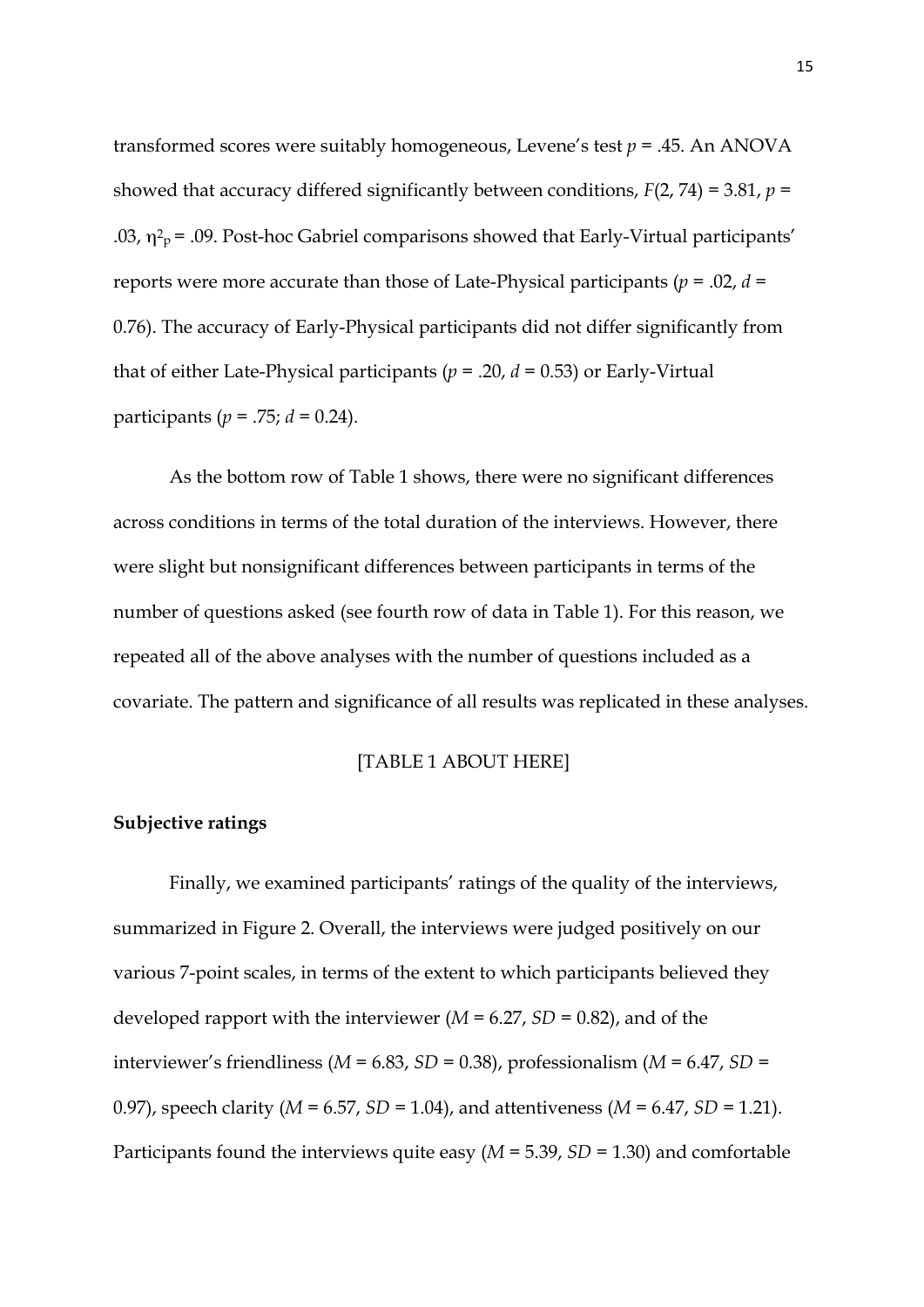transformed scores were suitably homogeneous, Levene's test *p* = .45. An ANOVA showed that accuracy differed significantly between conditions, *F*(2, 74) = 3.81, *p =* .03,  $\eta^2$ <sub>p</sub> = .09. Post-hoc Gabriel comparisons showed that Early-Virtual participants' reports were more accurate than those of Late-Physical participants (*p =* .02, *d =* 0.76). The accuracy of Early-Physical participants did not differ significantly from that of either Late-Physical participants (*p =* .20, *d =* 0.53) or Early-Virtual participants (*p =* .75; *d =* 0.24).

As the bottom row of Table 1 shows, there were no significant differences across conditions in terms of the total duration of the interviews. However, there were slight but nonsignificant differences between participants in terms of the number of questions asked (see fourth row of data in Table 1). For this reason, we repeated all of the above analyses with the number of questions included as a covariate. The pattern and significance of all results was replicated in these analyses.

#### [TABLE 1 ABOUT HERE]

#### **Subjective ratings**

Finally, we examined participants' ratings of the quality of the interviews, summarized in Figure 2. Overall, the interviews were judged positively on our various 7-point scales, in terms of the extent to which participants believed they developed rapport with the interviewer (*M =* 6.27, *SD =* 0.82), and of the interviewer's friendliness (*M =* 6.83, *SD =* 0.38), professionalism (*M =* 6.47, *SD =* 0.97), speech clarity (*M =* 6.57, *SD =* 1.04), and attentiveness (*M =* 6.47, *SD =* 1.21). Participants found the interviews quite easy (*M =* 5.39, *SD =* 1.30) and comfortable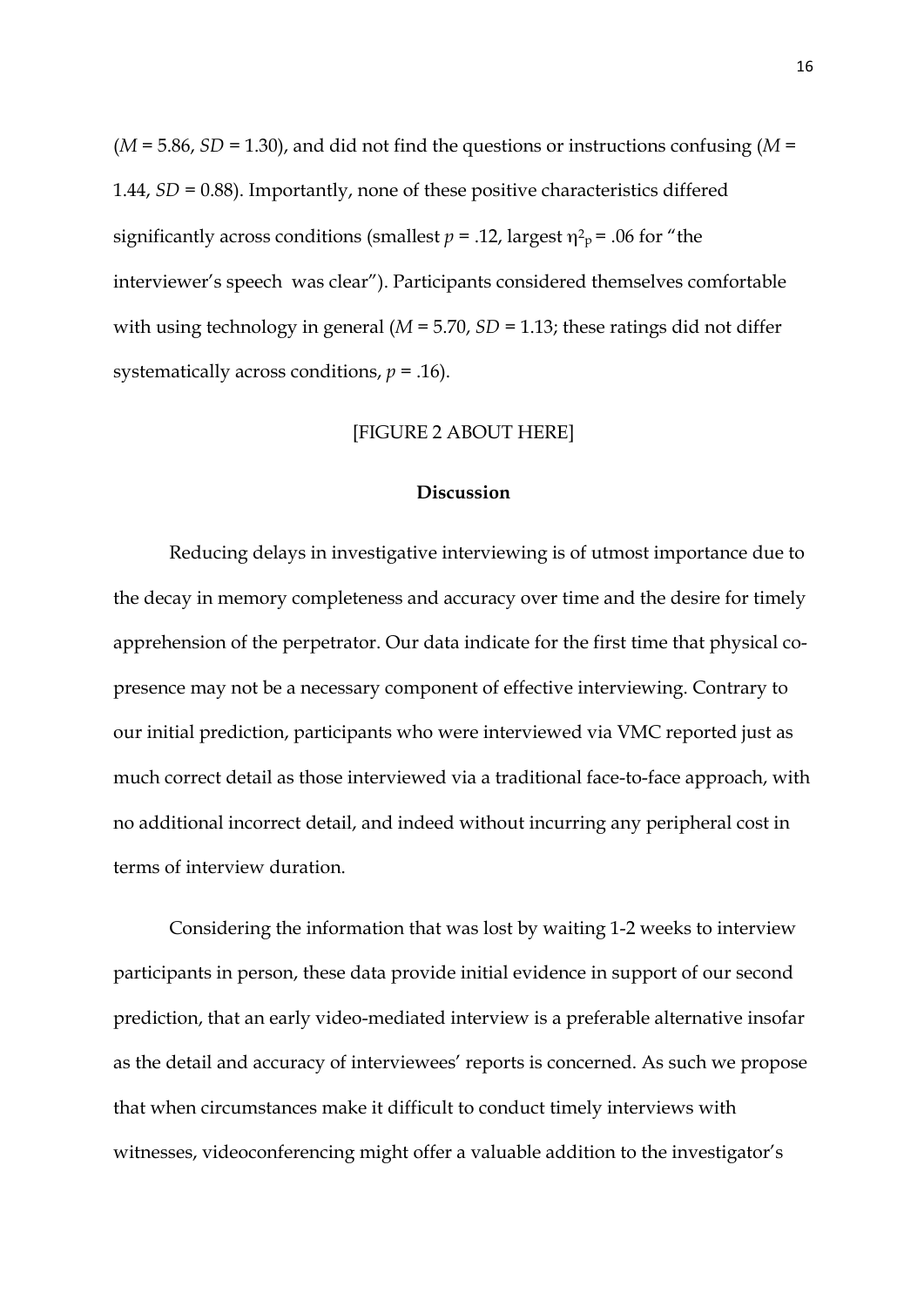(*M =* 5.86, *SD =* 1.30), and did not find the questions or instructions confusing (*M =* 1.44, *SD =* 0.88). Importantly, none of these positive characteristics differed significantly across conditions (smallest  $p = .12$ , largest  $\eta^2$ <sub>p</sub> = .06 for "the interviewer's speech was clear"). Participants considered themselves comfortable with using technology in general (*M =* 5.70, *SD =* 1.13; these ratings did not differ systematically across conditions, *p =* .16).

#### [FIGURE 2 ABOUT HERE]

#### **Discussion**

Reducing delays in investigative interviewing is of utmost importance due to the decay in memory completeness and accuracy over time and the desire for timely apprehension of the perpetrator. Our data indicate for the first time that physical copresence may not be a necessary component of effective interviewing. Contrary to our initial prediction, participants who were interviewed via VMC reported just as much correct detail as those interviewed via a traditional face-to-face approach, with no additional incorrect detail, and indeed without incurring any peripheral cost in terms of interview duration.

Considering the information that was lost by waiting 1-2 weeks to interview participants in person, these data provide initial evidence in support of our second prediction, that an early video-mediated interview is a preferable alternative insofar as the detail and accuracy of interviewees' reports is concerned. As such we propose that when circumstances make it difficult to conduct timely interviews with witnesses, videoconferencing might offer a valuable addition to the investigator's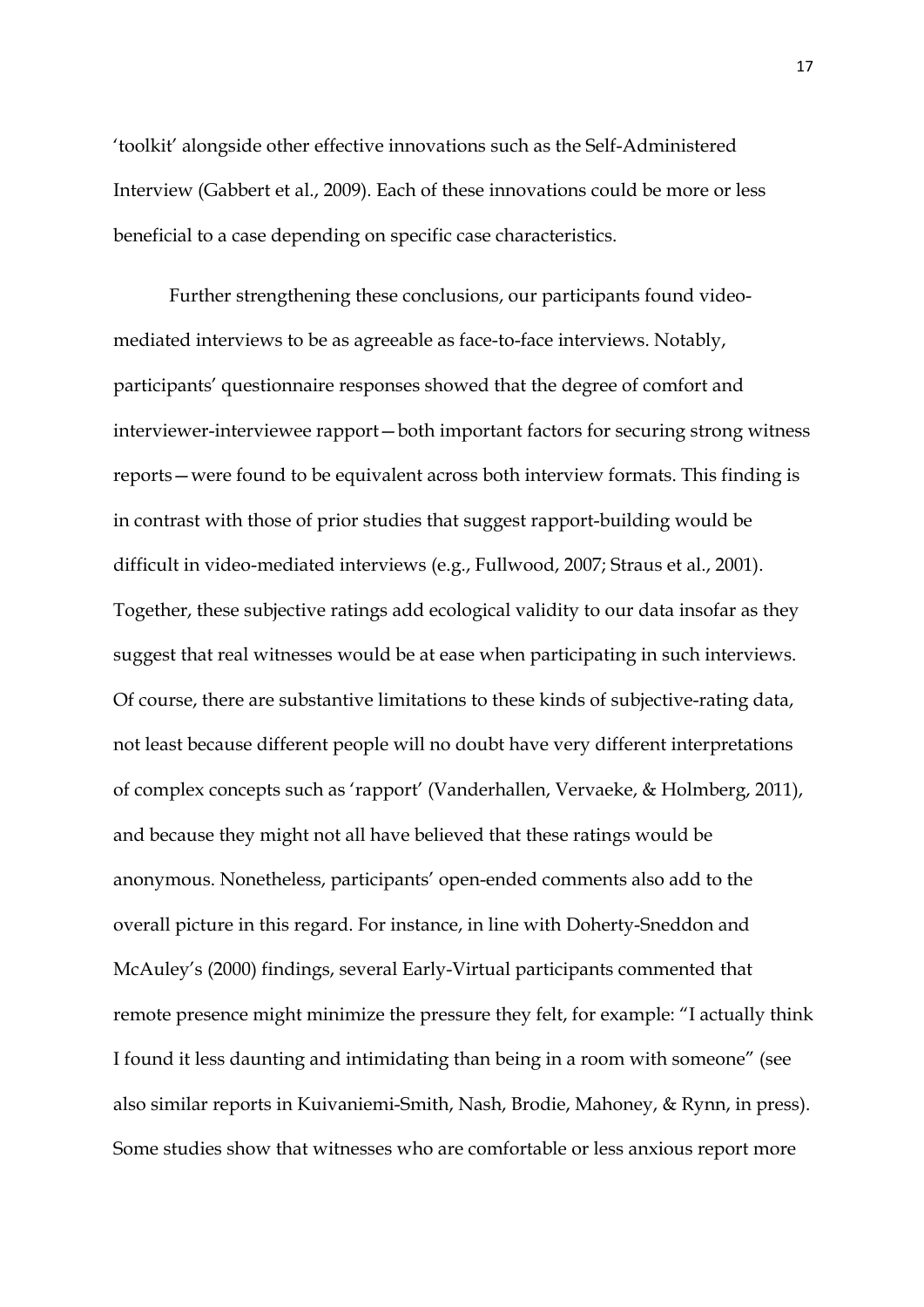'toolkit' alongside other effective innovations such as the Self-Administered Interview (Gabbert et al., 2009). Each of these innovations could be more or less beneficial to a case depending on specific case characteristics.

Further strengthening these conclusions, our participants found videomediated interviews to be as agreeable as face-to-face interviews. Notably, participants' questionnaire responses showed that the degree of comfort and interviewer-interviewee rapport—both important factors for securing strong witness reports—were found to be equivalent across both interview formats. This finding is in contrast with those of prior studies that suggest rapport-building would be difficult in video-mediated interviews (e.g., Fullwood, 2007; Straus et al., 2001). Together, these subjective ratings add ecological validity to our data insofar as they suggest that real witnesses would be at ease when participating in such interviews. Of course, there are substantive limitations to these kinds of subjective-rating data, not least because different people will no doubt have very different interpretations of complex concepts such as 'rapport' (Vanderhallen, Vervaeke, & Holmberg, 2011), and because they might not all have believed that these ratings would be anonymous. Nonetheless, participants' open-ended comments also add to the overall picture in this regard. For instance, in line with Doherty-Sneddon and McAuley's (2000) findings, several Early-Virtual participants commented that remote presence might minimize the pressure they felt, for example: "I actually think I found it less daunting and intimidating than being in a room with someone" (see also similar reports in Kuivaniemi-Smith, Nash, Brodie, Mahoney, & Rynn, in press). Some studies show that witnesses who are comfortable or less anxious report more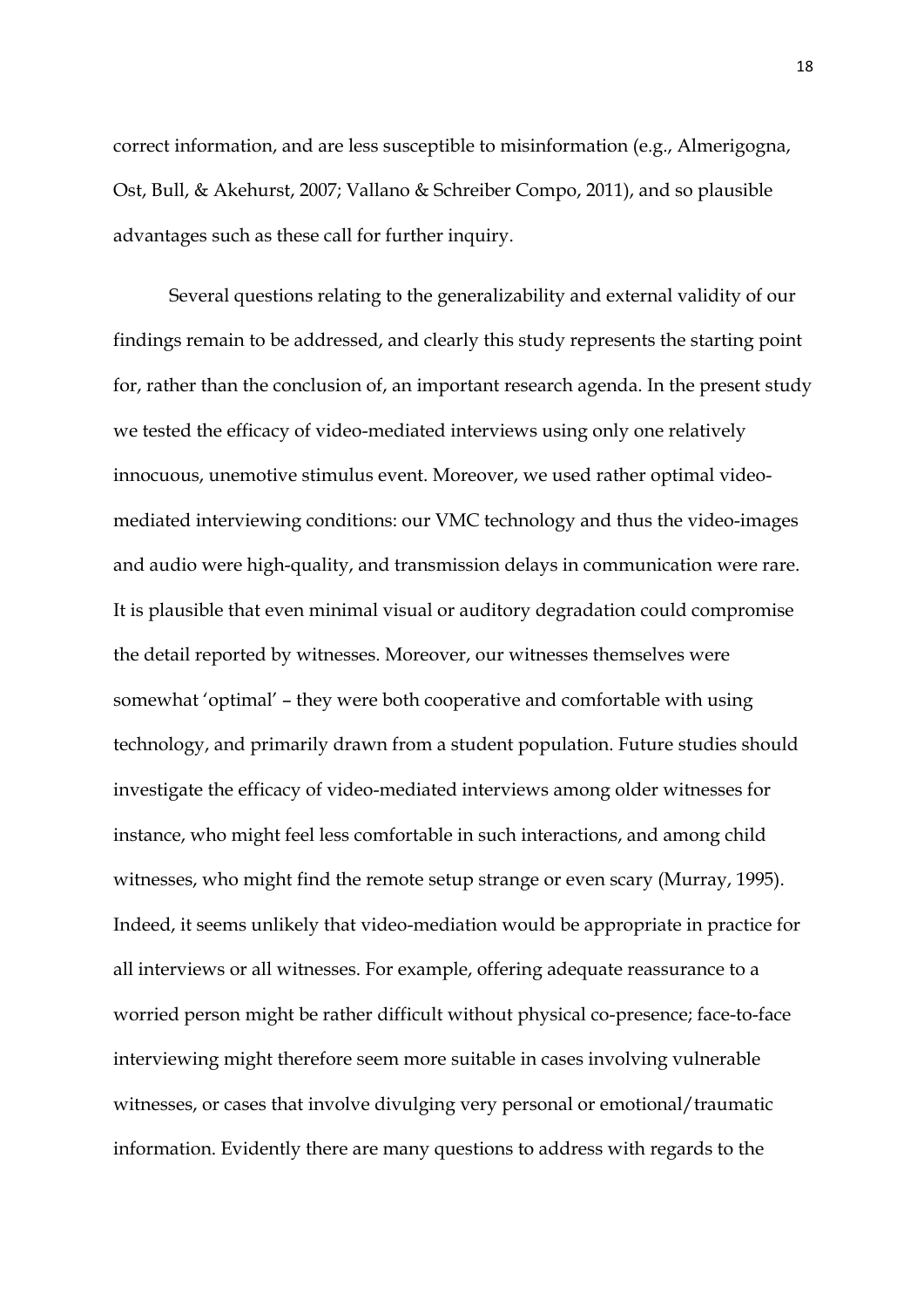correct information, and are less susceptible to misinformation (e.g., Almerigogna, Ost, Bull, & Akehurst, 2007; Vallano & Schreiber Compo, 2011), and so plausible advantages such as these call for further inquiry.

Several questions relating to the generalizability and external validity of our findings remain to be addressed, and clearly this study represents the starting point for, rather than the conclusion of, an important research agenda. In the present study we tested the efficacy of video-mediated interviews using only one relatively innocuous, unemotive stimulus event. Moreover, we used rather optimal videomediated interviewing conditions: our VMC technology and thus the video-images and audio were high-quality, and transmission delays in communication were rare. It is plausible that even minimal visual or auditory degradation could compromise the detail reported by witnesses. Moreover, our witnesses themselves were somewhat 'optimal' – they were both cooperative and comfortable with using technology, and primarily drawn from a student population. Future studies should investigate the efficacy of video-mediated interviews among older witnesses for instance, who might feel less comfortable in such interactions, and among child witnesses, who might find the remote setup strange or even scary (Murray, 1995). Indeed, it seems unlikely that video-mediation would be appropriate in practice for all interviews or all witnesses. For example, offering adequate reassurance to a worried person might be rather difficult without physical co-presence; face-to-face interviewing might therefore seem more suitable in cases involving vulnerable witnesses, or cases that involve divulging very personal or emotional/traumatic information. Evidently there are many questions to address with regards to the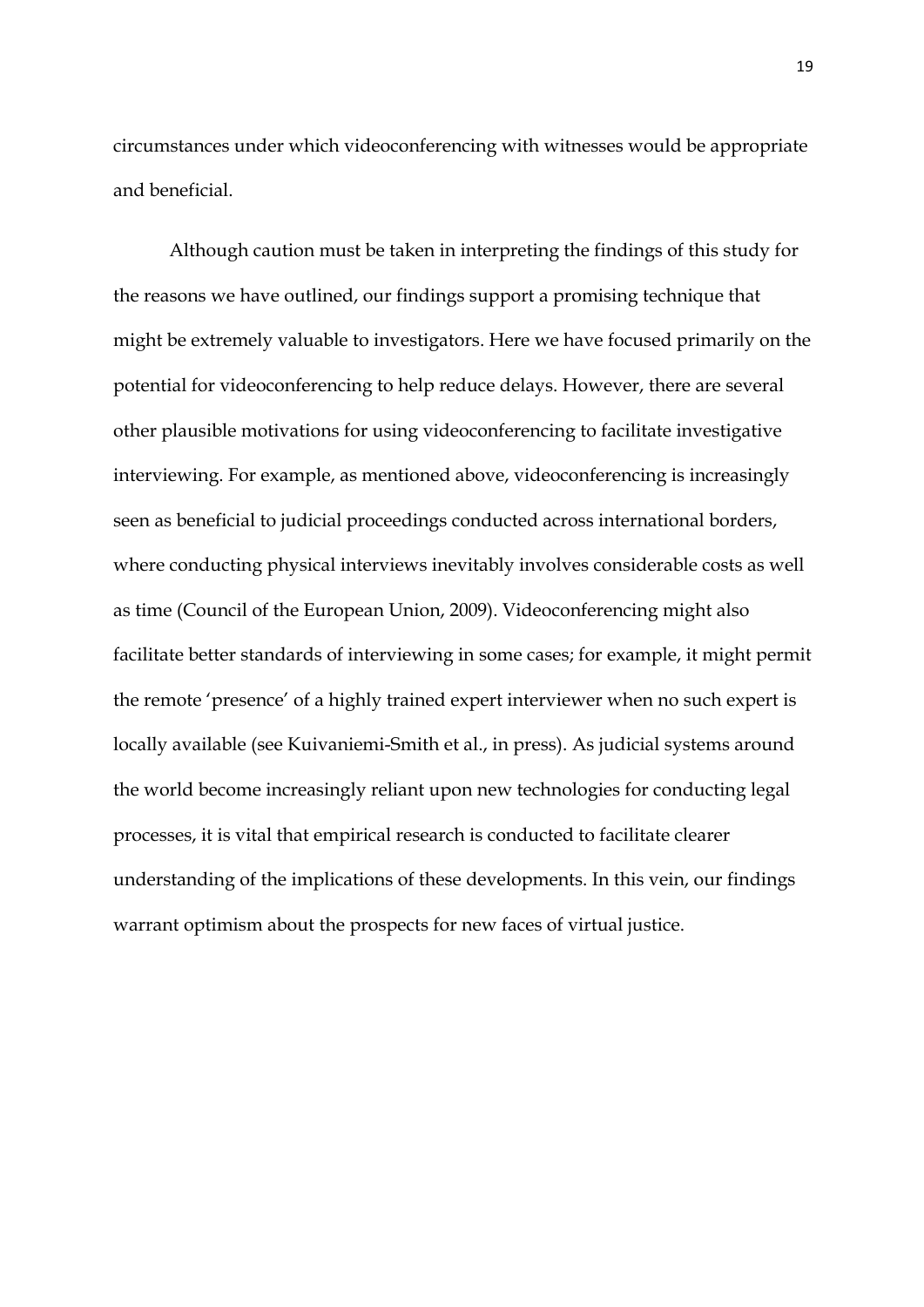circumstances under which videoconferencing with witnesses would be appropriate and beneficial.

Although caution must be taken in interpreting the findings of this study for the reasons we have outlined, our findings support a promising technique that might be extremely valuable to investigators. Here we have focused primarily on the potential for videoconferencing to help reduce delays. However, there are several other plausible motivations for using videoconferencing to facilitate investigative interviewing. For example, as mentioned above, videoconferencing is increasingly seen as beneficial to judicial proceedings conducted across international borders, where conducting physical interviews inevitably involves considerable costs as well as time (Council of the European Union, 2009). Videoconferencing might also facilitate better standards of interviewing in some cases; for example, it might permit the remote 'presence' of a highly trained expert interviewer when no such expert is locally available (see Kuivaniemi-Smith et al., in press). As judicial systems around the world become increasingly reliant upon new technologies for conducting legal processes, it is vital that empirical research is conducted to facilitate clearer understanding of the implications of these developments. In this vein, our findings warrant optimism about the prospects for new faces of virtual justice.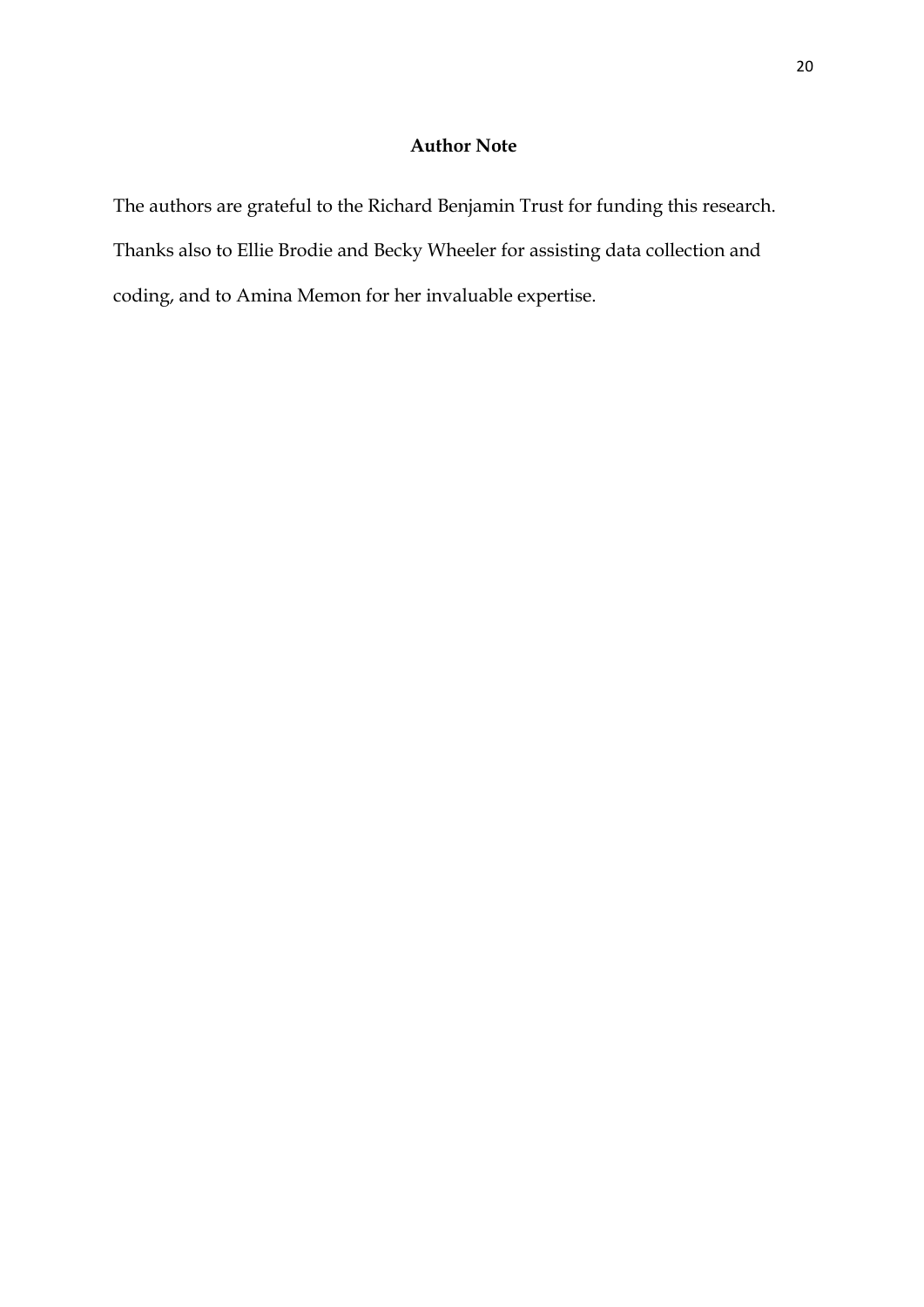## **Author Note**

The authors are grateful to the Richard Benjamin Trust for funding this research. Thanks also to Ellie Brodie and Becky Wheeler for assisting data collection and coding, and to Amina Memon for her invaluable expertise.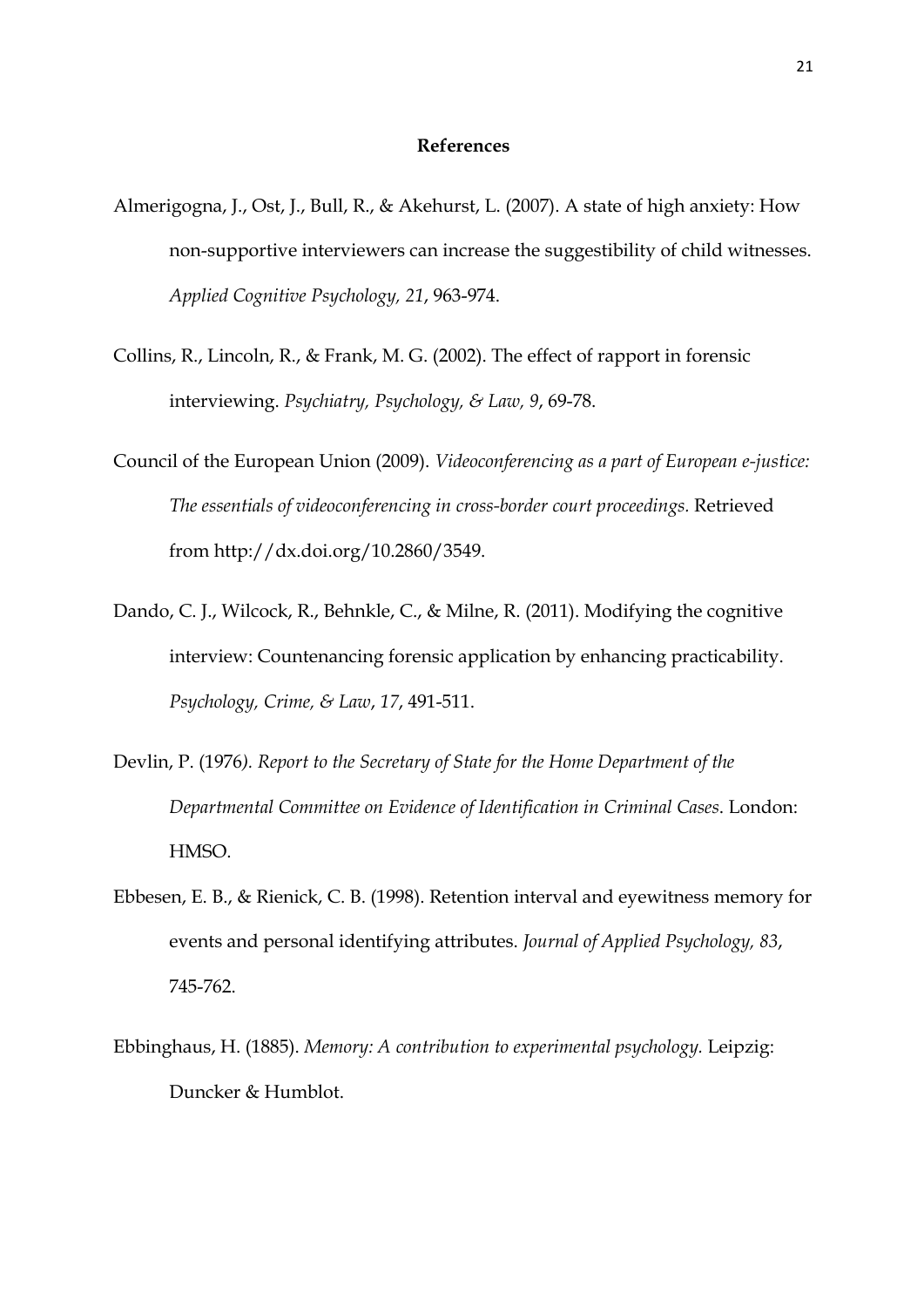#### **References**

- Almerigogna, J., Ost, J., Bull, R., & Akehurst, L. (2007). A state of high anxiety: How non-supportive interviewers can increase the suggestibility of child witnesses. *Applied Cognitive Psychology, 21*, 963-974.
- Collins, R., Lincoln, R., & Frank, M. G. (2002). The effect of rapport in forensic interviewing. *Psychiatry, Psychology, & Law, 9*, 69-78.
- Council of the European Union (2009). *Videoconferencing as a part of European e-justice: The essentials of videoconferencing in cross-border court proceedings.* Retrieved from http://dx.doi.org/10.2860/3549.
- Dando, C. J., Wilcock, R., Behnkle, C., & Milne, R. (2011). Modifying the cognitive interview: Countenancing forensic application by enhancing practicability. *Psychology, Crime, & Law*, *17*, 491-511.
- Devlin, P. (1976*). Report to the Secretary of State for the Home Department of the Departmental Committee on Evidence of Identification in Criminal Cases*. London: HMSO.
- Ebbesen, E. B., & Rienick, C. B. (1998). Retention interval and eyewitness memory for events and personal identifying attributes. *Journal of Applied Psychology, 83*, 745-762.
- Ebbinghaus, H. (1885). *Memory: A contribution to experimental psychology.* Leipzig: Duncker & Humblot.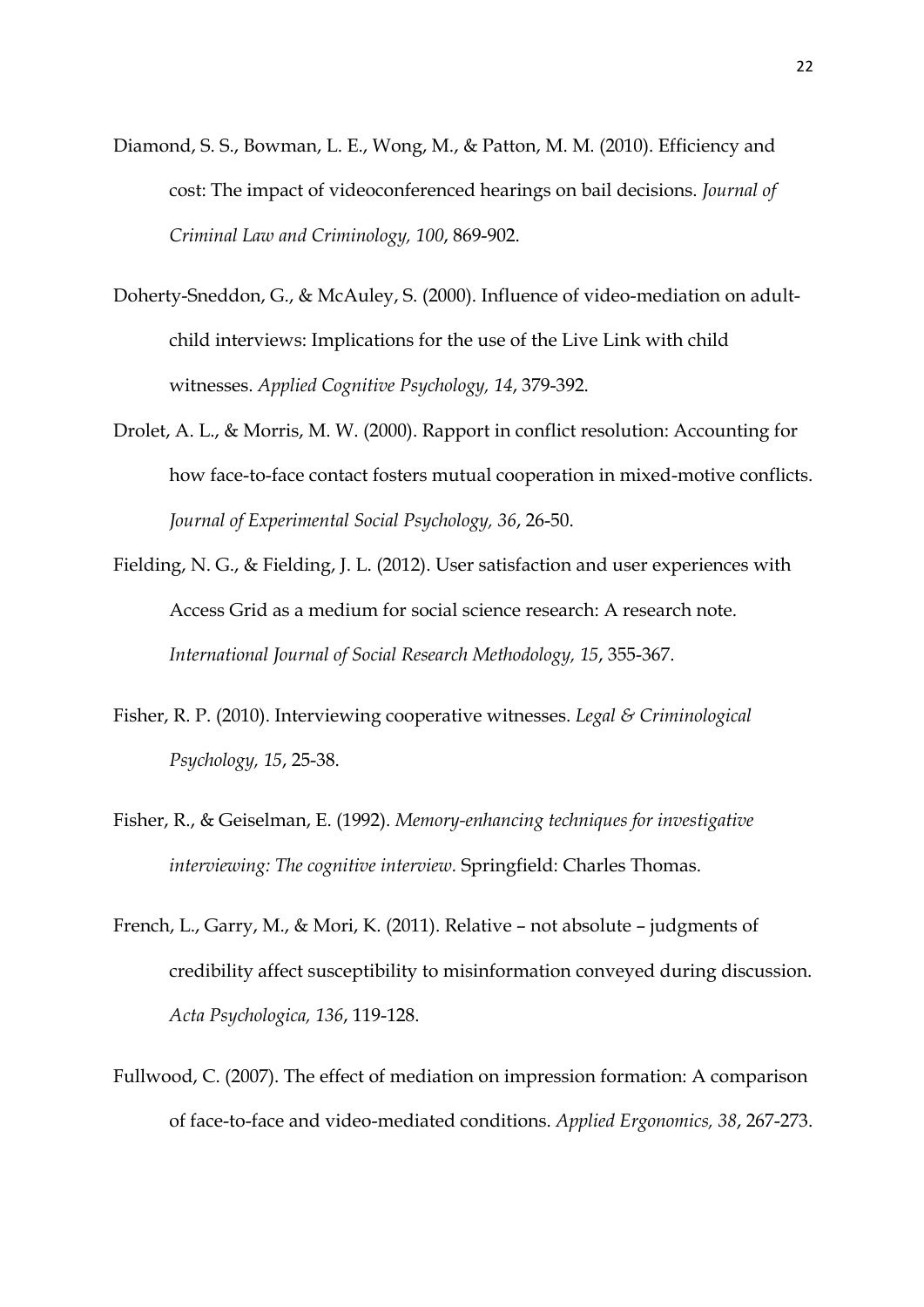- Diamond, S. S., Bowman, L. E., Wong, M., & Patton, M. M. (2010). Efficiency and cost: The impact of videoconferenced hearings on bail decisions. *Journal of Criminal Law and Criminology, 100*, 869-902.
- Doherty-Sneddon, G., & McAuley, S. (2000). Influence of video-mediation on adultchild interviews: Implications for the use of the Live Link with child witnesses. *Applied Cognitive Psychology, 14*, 379-392.
- Drolet, A. L., & Morris, M. W. (2000). Rapport in conflict resolution: Accounting for how face-to-face contact fosters mutual cooperation in mixed-motive conflicts. *Journal of Experimental Social Psychology, 36*, 26-50.
- Fielding, N. G., & Fielding, J. L. (2012). User satisfaction and user experiences with Access Grid as a medium for social science research: A research note. *International Journal of Social Research Methodology, 15*, 355-367.
- Fisher, R. P. (2010). Interviewing cooperative witnesses. *Legal & Criminological Psychology, 15*, 25-38.
- Fisher, R., & Geiselman, E. (1992). *Memory-enhancing techniques for investigative interviewing: The cognitive interview.* Springfield: Charles Thomas.
- French, L., Garry, M., & Mori, K. (2011). Relative not absolute judgments of credibility affect susceptibility to misinformation conveyed during discussion. *Acta Psychologica, 136*, 119-128.
- Fullwood, C. (2007). The effect of mediation on impression formation: A comparison of face-to-face and video-mediated conditions. *Applied Ergonomics, 38*, 267-273.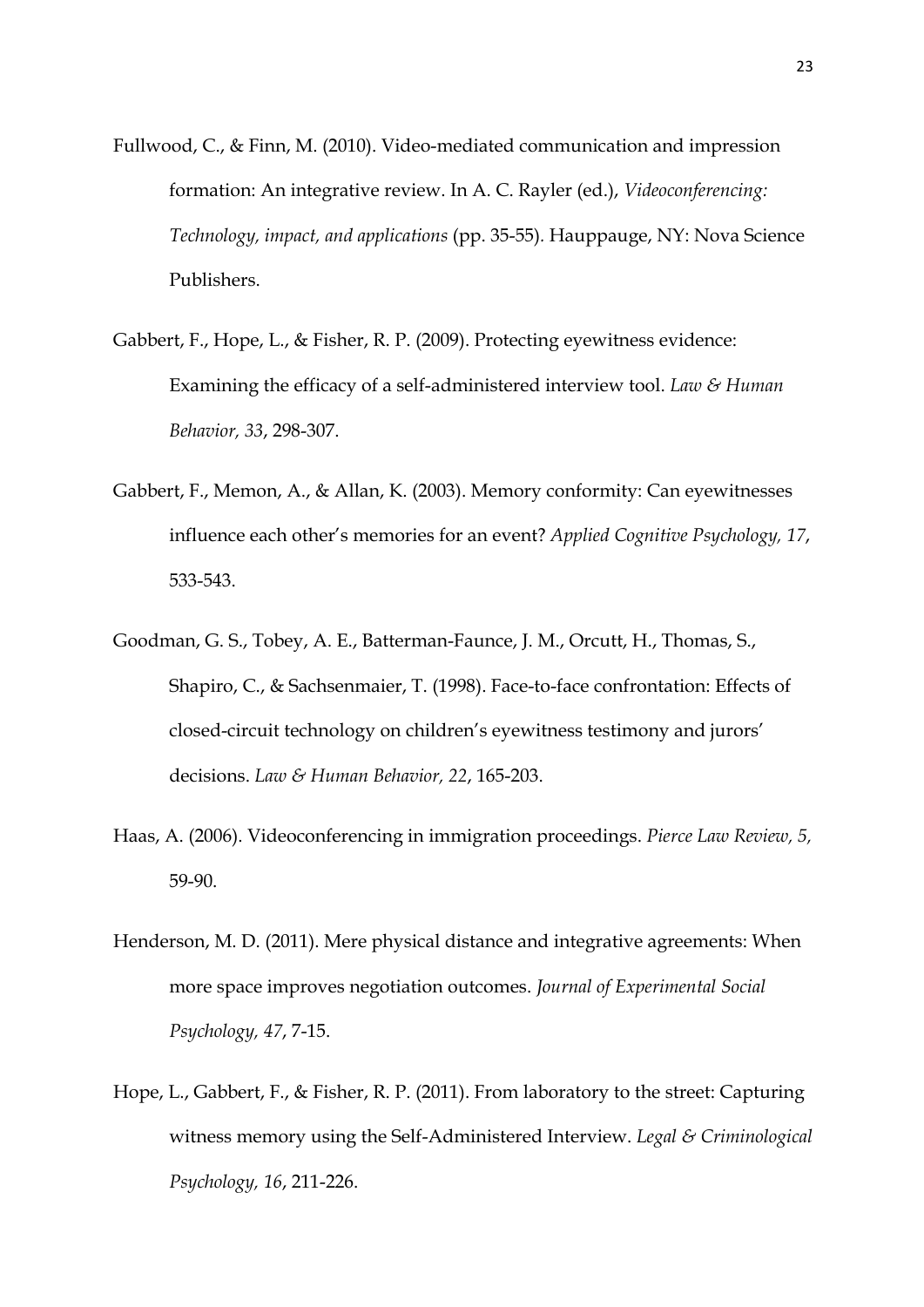- Fullwood, C., & Finn, M. (2010). Video-mediated communication and impression formation: An integrative review. In A. C. Rayler (ed.), *Videoconferencing: Technology, impact, and applications* (pp. 35-55)*.* Hauppauge, NY: Nova Science Publishers.
- Gabbert, F., Hope, L., & Fisher, R. P. (2009). Protecting eyewitness evidence: Examining the efficacy of a self-administered interview tool. *Law & Human Behavior, 33*, 298-307.
- Gabbert, F., Memon, A., & Allan, K. (2003). Memory conformity: Can eyewitnesses influence each other's memories for an event? *Applied Cognitive Psychology, 17*, 533-543.
- Goodman, G. S., Tobey, A. E., Batterman-Faunce, J. M., Orcutt, H., Thomas, S., Shapiro, C., & Sachsenmaier, T. (1998). Face-to-face confrontation: Effects of closed-circuit technology on children's eyewitness testimony and jurors' decisions. *Law & Human Behavior, 22*, 165-203.
- Haas, A. (2006). Videoconferencing in immigration proceedings. *Pierce Law Review, 5,*  59-90.
- Henderson, M. D. (2011). Mere physical distance and integrative agreements: When more space improves negotiation outcomes. *Journal of Experimental Social Psychology, 47*, 7-15.
- Hope, L., Gabbert, F., & Fisher, R. P. (2011). From laboratory to the street: Capturing witness memory using the Self-Administered Interview. *Legal & Criminological Psychology, 16*, 211-226.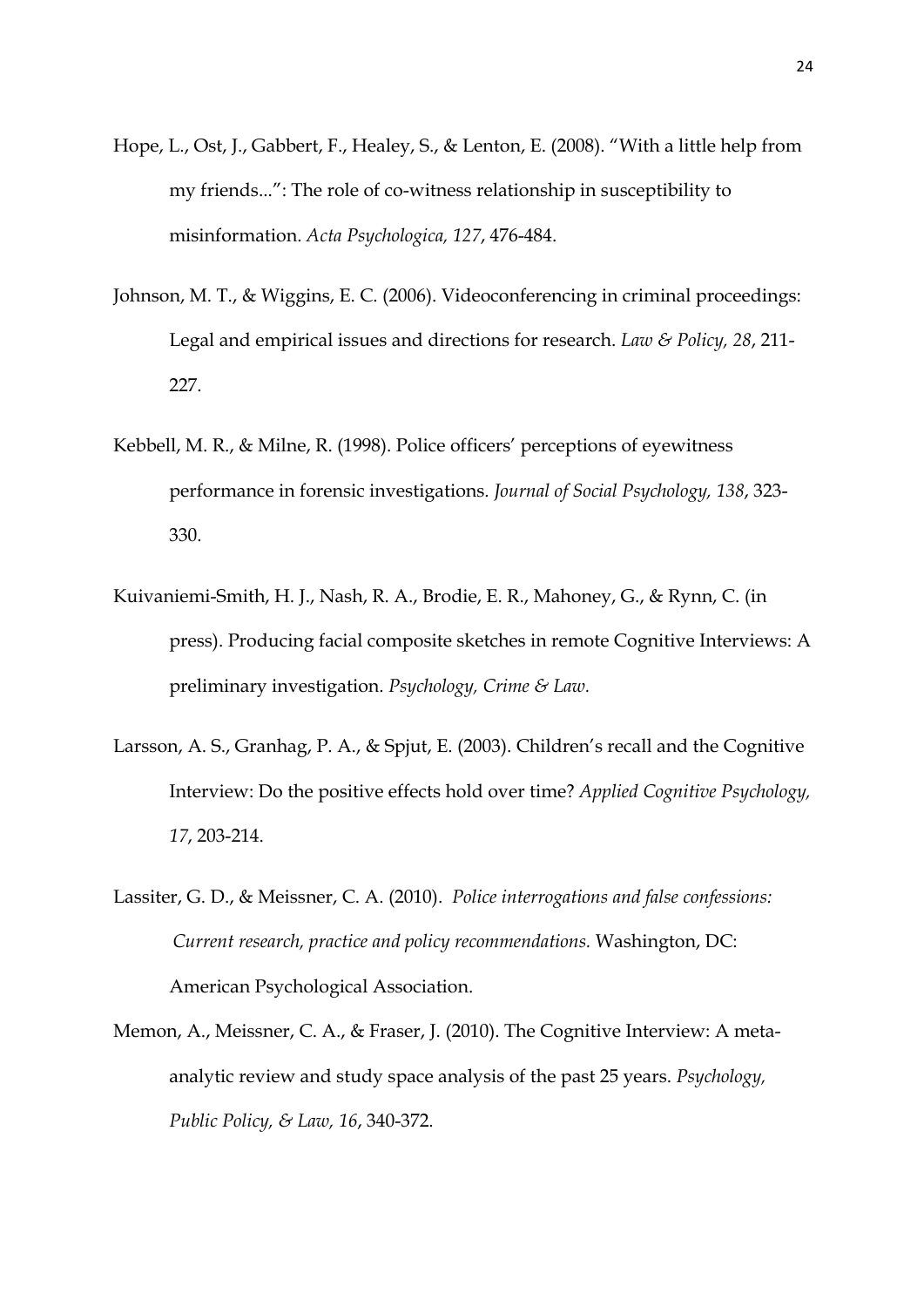- Hope, L., Ost, J., Gabbert, F., Healey, S., & Lenton, E. (2008). "With a little help from my friends...": The role of co-witness relationship in susceptibility to misinformation. *Acta Psychologica, 127*, 476-484.
- Johnson, M. T., & Wiggins, E. C. (2006). Videoconferencing in criminal proceedings: Legal and empirical issues and directions for research. *Law & Policy, 28*, 211- 227.
- Kebbell, M. R., & Milne, R. (1998). Police officers' perceptions of eyewitness performance in forensic investigations. *Journal of Social Psychology, 138*, 323- 330.
- Kuivaniemi-Smith, H. J., Nash, R. A., Brodie, E. R., Mahoney, G., & Rynn, C. (in press). Producing facial composite sketches in remote Cognitive Interviews: A preliminary investigation. *Psychology, Crime & Law.*
- Larsson, A. S., Granhag, P. A., & Spjut, E. (2003). Children's recall and the Cognitive Interview: Do the positive effects hold over time? *Applied Cognitive Psychology, 17*, 203-214.
- Lassiter, G. D., & Meissner, C. A. (2010). *Police interrogations and false confessions: Current research, practice and policy recommendations.* Washington, DC: American Psychological Association.
- Memon, A., Meissner, C. A., & Fraser, J. (2010). The Cognitive Interview: A metaanalytic review and study space analysis of the past 25 years. *Psychology, Public Policy, & Law, 16*, 340-372.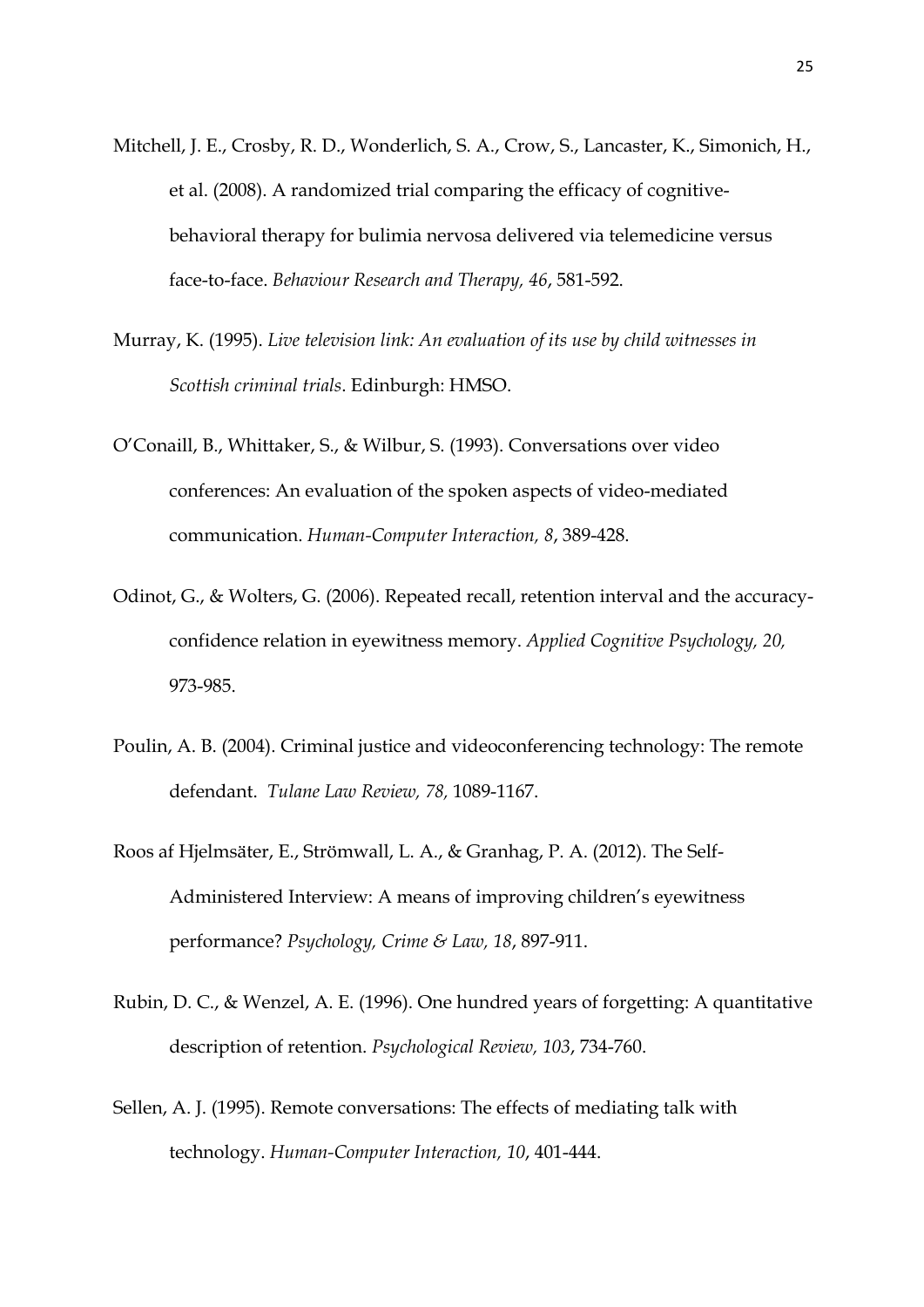- Mitchell, J. E., Crosby, R. D., Wonderlich, S. A., Crow, S., Lancaster, K., Simonich, H., et al. (2008). A randomized trial comparing the efficacy of cognitivebehavioral therapy for bulimia nervosa delivered via telemedicine versus face-to-face. *Behaviour Research and Therapy, 46*, 581-592.
- Murray, K. (1995). *Live television link: An evaluation of its use by child witnesses in Scottish criminal trials*. Edinburgh: HMSO.
- O'Conaill, B., Whittaker, S., & Wilbur, S. (1993). Conversations over video conferences: An evaluation of the spoken aspects of video-mediated communication. *Human-Computer Interaction, 8*, 389-428.
- Odinot, G., & Wolters, G. (2006). Repeated recall, retention interval and the accuracyconfidence relation in eyewitness memory. *Applied Cognitive Psychology, 20,* 973-985.
- Poulin, A. B. (2004). Criminal justice and videoconferencing technology: The remote defendant. *Tulane Law Review, 78,* 1089-1167.
- Roos af Hjelmsäter, E., Strömwall, L. A., & Granhag, P. A. (2012). The Self-Administered Interview: A means of improving children's eyewitness performance? *Psychology, Crime & Law, 18*, 897-911.
- Rubin, D. C., & Wenzel, A. E. (1996). One hundred years of forgetting: A quantitative description of retention. *Psychological Review, 103*, 734-760.
- Sellen, A. J. (1995). Remote conversations: The effects of mediating talk with technology. *Human-Computer Interaction, 10*, 401-444.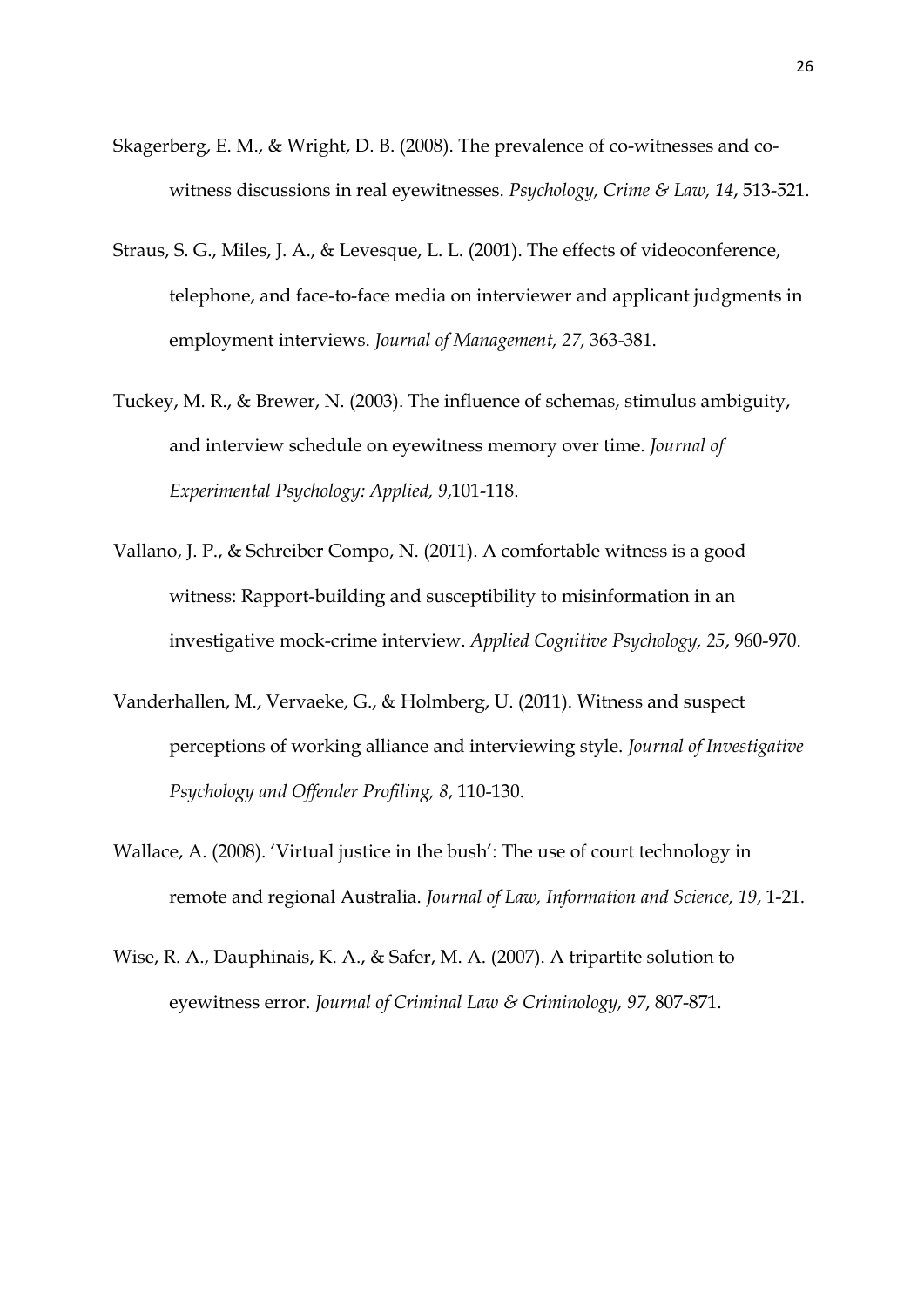- Skagerberg, E. M., & Wright, D. B. (2008). The prevalence of co-witnesses and cowitness discussions in real eyewitnesses. *Psychology, Crime & Law, 14*, 513-521.
- Straus, S. G., Miles, J. A., & Levesque, L. L. (2001). The effects of videoconference, telephone, and face-to-face media on interviewer and applicant judgments in employment interviews. *Journal of Management, 27,* 363-381.
- Tuckey, M. R., & Brewer, N. (2003). The influence of schemas, stimulus ambiguity, and interview schedule on eyewitness memory over time. *Journal of Experimental Psychology: Applied, 9*,101-118.
- Vallano, J. P., & Schreiber Compo, N. (2011). A comfortable witness is a good witness: Rapport-building and susceptibility to misinformation in an investigative mock-crime interview. *Applied Cognitive Psychology, 25*, 960-970.
- Vanderhallen, M., Vervaeke, G., & Holmberg, U. (2011). Witness and suspect perceptions of working alliance and interviewing style. *Journal of Investigative Psychology and Offender Profiling, 8*, 110-130.
- Wallace, A. (2008). 'Virtual justice in the bush': The use of court technology in remote and regional Australia. *Journal of Law, Information and Science, 19*, 1-21.
- Wise, R. A., Dauphinais, K. A., & Safer, M. A. (2007). A tripartite solution to eyewitness error. *Journal of Criminal Law & Criminology, 97*, 807-871.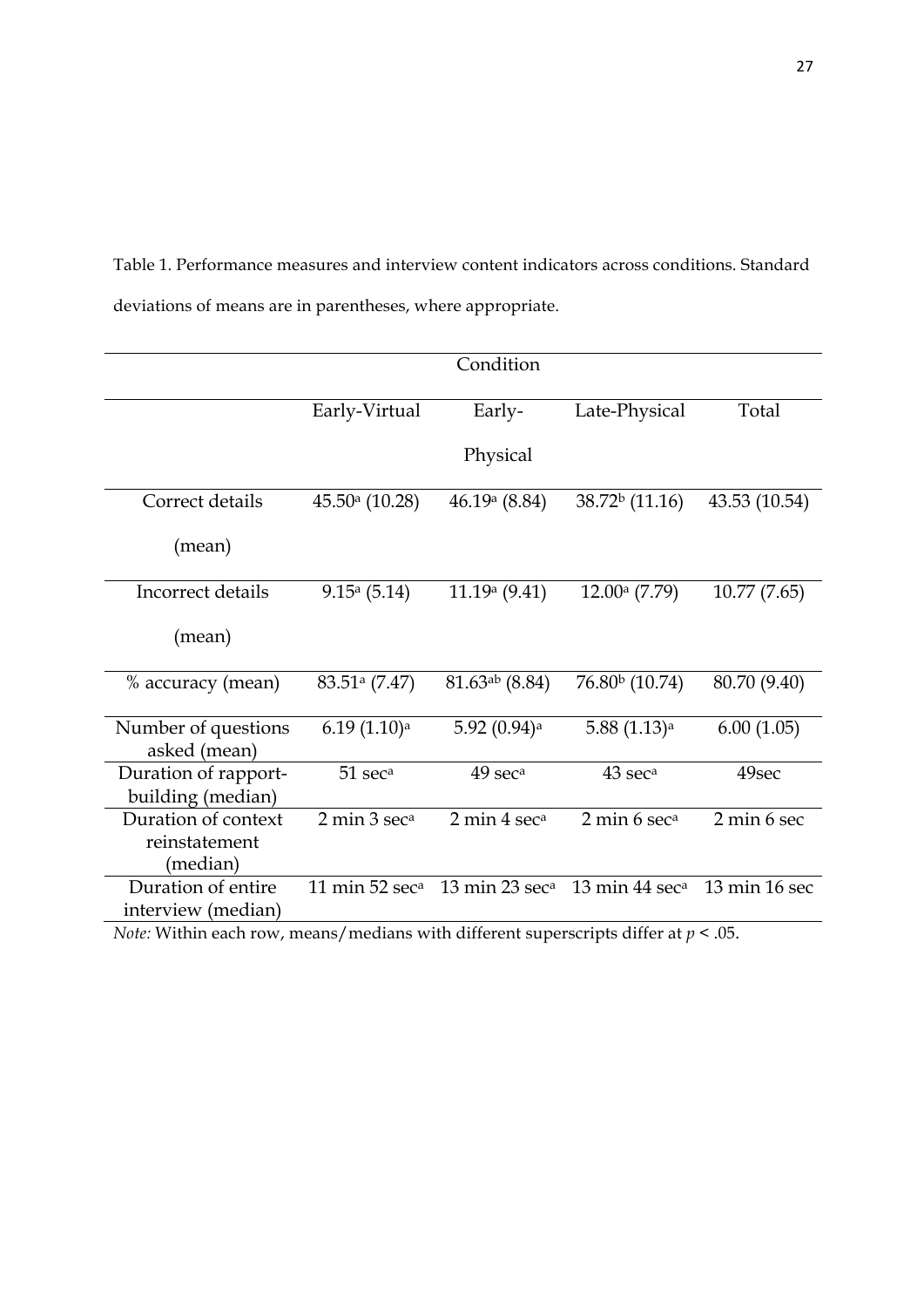Table 1. Performance measures and interview content indicators across conditions. Standard deviations of means are in parentheses, where appropriate.

|                                                  |                                        | Condition                                                                                                                                                                                                                                                                                                                                                                                                                                  |                           |               |
|--------------------------------------------------|----------------------------------------|--------------------------------------------------------------------------------------------------------------------------------------------------------------------------------------------------------------------------------------------------------------------------------------------------------------------------------------------------------------------------------------------------------------------------------------------|---------------------------|---------------|
|                                                  | Early-Virtual                          | Early-                                                                                                                                                                                                                                                                                                                                                                                                                                     | Late-Physical             | Total         |
|                                                  |                                        | Physical                                                                                                                                                                                                                                                                                                                                                                                                                                   |                           |               |
| Correct details                                  | $45.50a$ (10.28)                       | 46.19 $(a)(8.84)$                                                                                                                                                                                                                                                                                                                                                                                                                          | $38.72b$ (11.16)          | 43.53 (10.54) |
| (mean)                                           |                                        |                                                                                                                                                                                                                                                                                                                                                                                                                                            |                           |               |
| Incorrect details                                | $9.15^a (5.14)$                        | 11.19 <sup>a</sup> (9.41)                                                                                                                                                                                                                                                                                                                                                                                                                  | 12.00a(7.79)              | 10.77(7.65)   |
| (mean)                                           |                                        |                                                                                                                                                                                                                                                                                                                                                                                                                                            |                           |               |
| % accuracy (mean)                                | $83.51a$ (7.47)                        | $81.63^{ab}$ (8.84)                                                                                                                                                                                                                                                                                                                                                                                                                        | $76.80b$ (10.74)          | 80.70 (9.40)  |
| Number of questions<br>asked (mean)              | 6.19(1.10) <sup>a</sup>                | 5.92 (0.94) <sup>a</sup>                                                                                                                                                                                                                                                                                                                                                                                                                   | $5.88(1.13)$ <sup>a</sup> | 6.00(1.05)    |
| Duration of rapport-<br>building (median)        | 51 sec <sup>a</sup>                    | 49 sec <sup>a</sup>                                                                                                                                                                                                                                                                                                                                                                                                                        | 43 sec <sup>a</sup>       | 49sec         |
| Duration of context<br>reinstatement<br>(median) | 2 min 3 sec <sup>a</sup>               | 2 min 4 sec <sup>a</sup>                                                                                                                                                                                                                                                                                                                                                                                                                   | 2 min 6 sec <sup>a</sup>  | 2 min 6 sec   |
| Duration of entire<br>interview (median)         | 11 min 52 sec <sup>a</sup><br>$\cdots$ | 13 min 23 sec <sup>a</sup> 13 min 44 sec <sup>a</sup><br>$\cdot$ . $\cdot$ . $\cdot$ . $\cdot$ . $\cdot$ . $\cdot$ . $\cdot$ . $\cdot$ . $\cdot$ . $\cdot$ . $\cdot$ . $\cdot$ . $\cdot$ . $\cdot$ . $\cdot$ . $\cdot$ . $\cdot$ . $\cdot$ . $\cdot$ . $\cdot$ . $\cdot$ . $\cdot$ . $\cdot$ . $\cdot$ . $\cdot$ . $\cdot$ . $\cdot$ . $\cdot$ . $\cdot$ . $\cdot$ . $\cdot$ . $\cdot$ . $\cdot$ . $\cdot$ . $\cdot$ . $\cdot$ . $\cdot$ . |                           | 13 min 16 sec |

*Note:* Within each row, means/medians with different superscripts differ at *p* < .05.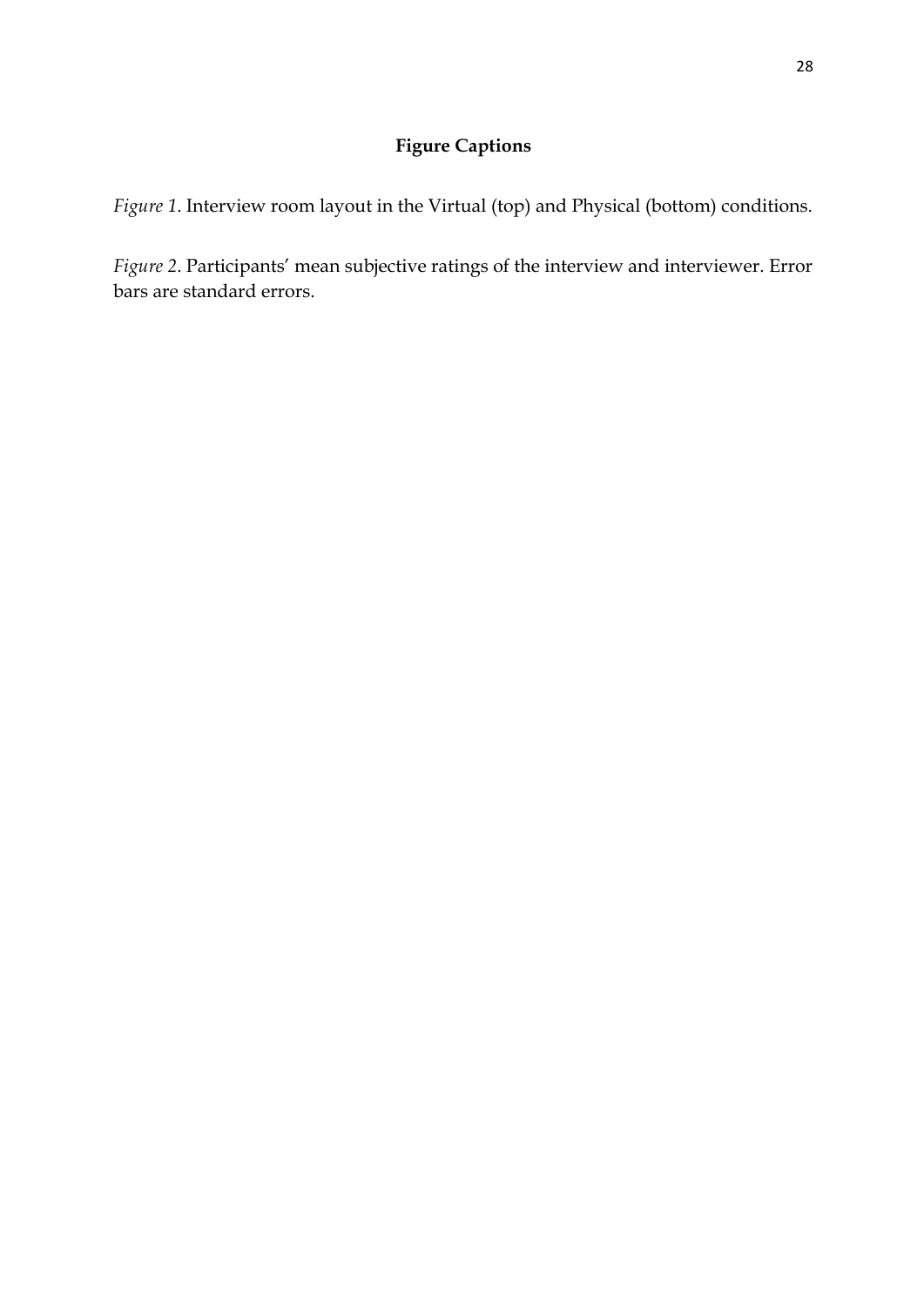# **Figure Captions**

*Figure 1*. Interview room layout in the Virtual (top) and Physical (bottom) conditions.

*Figure 2*. Participants' mean subjective ratings of the interview and interviewer. Error bars are standard errors.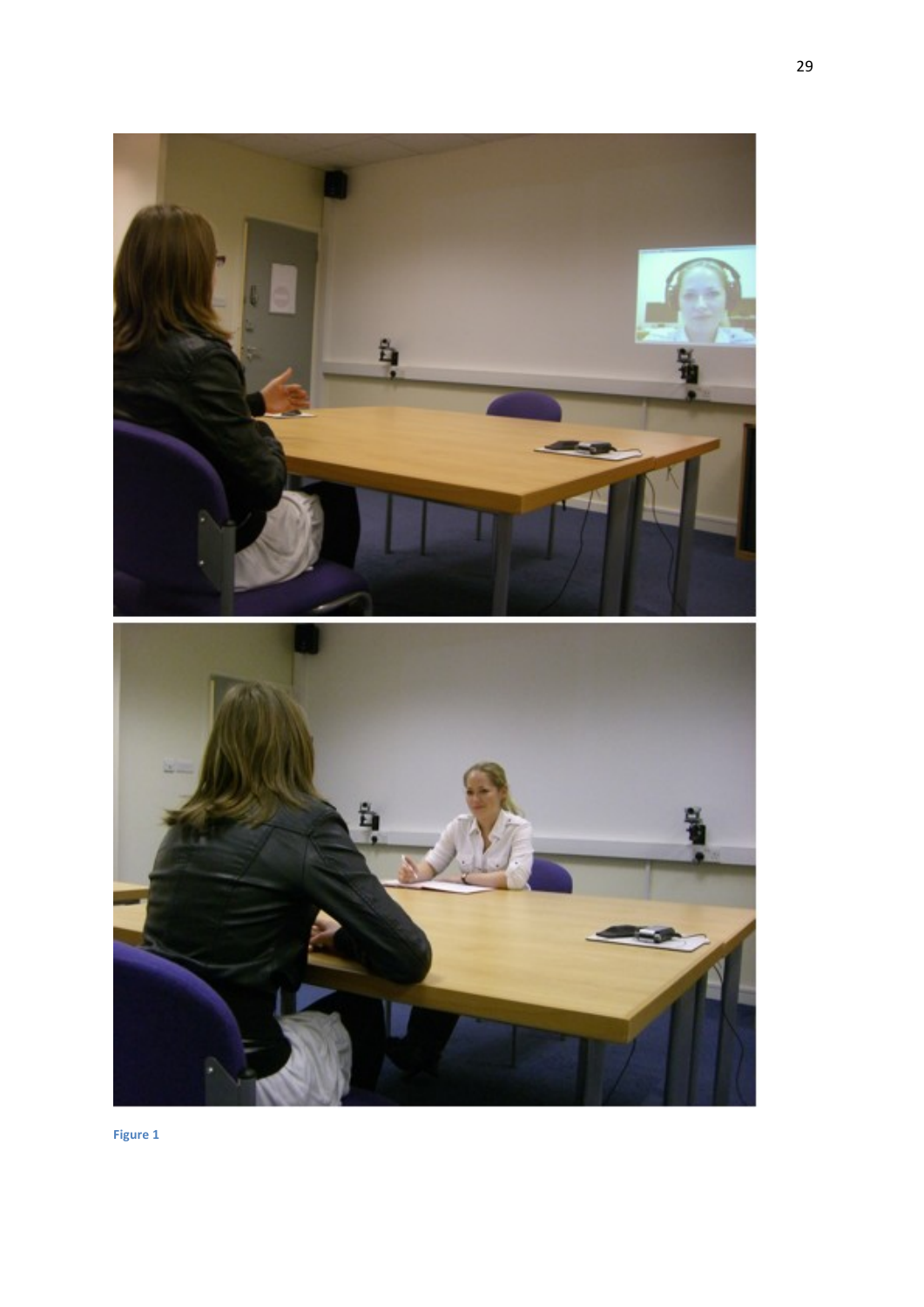

**Figure 1**